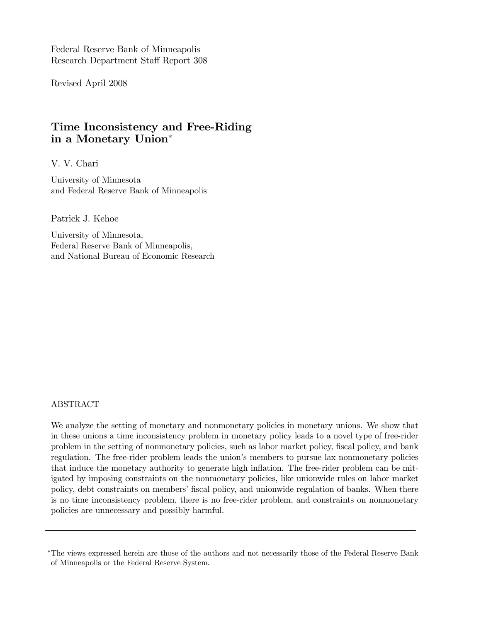Federal Reserve Bank of Minneapolis Research Department Staff Report 308

Revised April 2008

# Time Inconsistency and Free-Riding in a Monetary Union<sup>∗</sup>

V. V. Chari

University of Minnesota and Federal Reserve Bank of Minneapolis

Patrick J. Kehoe

University of Minnesota, Federal Reserve Bank of Minneapolis, and National Bureau of Economic Research

## ABSTRACT

We analyze the setting of monetary and nonmonetary policies in monetary unions. We show that in these unions a time inconsistency problem in monetary policy leads to a novel type of free-rider problem in the setting of nonmonetary policies, such as labor market policy, fiscal policy, and bank regulation. The free-rider problem leads the union's members to pursue lax nonmonetary policies that induce the monetary authority to generate high inflation. The free-rider problem can be mitigated by imposing constraints on the nonmonetary policies, like unionwide rules on labor market policy, debt constraints on members' fiscal policy, and unionwide regulation of banks. When there is no time inconsistency problem, there is no free-rider problem, and constraints on nonmonetary policies are unnecessary and possibly harmful.

<sup>∗</sup>The views expressed herein are those of the authors and not necessarily those of the Federal Reserve Bank of Minneapolis or the Federal Reserve System.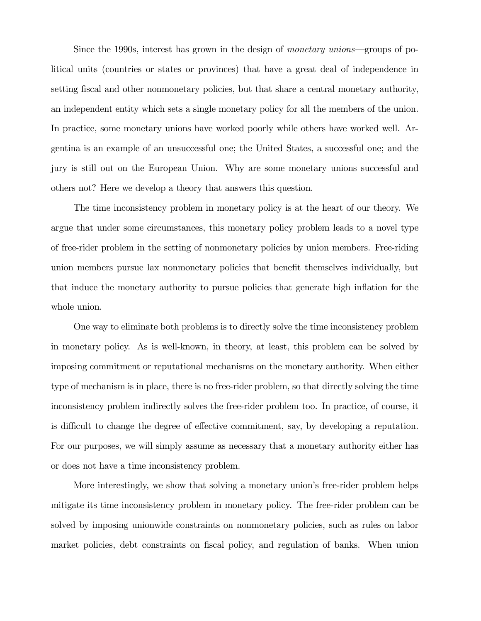Since the 1990s, interest has grown in the design of monetary unions–groups of political units (countries or states or provinces) that have a great deal of independence in setting fiscal and other nonmonetary policies, but that share a central monetary authority, an independent entity which sets a single monetary policy for all the members of the union. In practice, some monetary unions have worked poorly while others have worked well. Argentina is an example of an unsuccessful one; the United States, a successful one; and the jury is still out on the European Union. Why are some monetary unions successful and others not? Here we develop a theory that answers this question.

The time inconsistency problem in monetary policy is at the heart of our theory. We argue that under some circumstances, this monetary policy problem leads to a novel type of free-rider problem in the setting of nonmonetary policies by union members. Free-riding union members pursue lax nonmonetary policies that benefit themselves individually, but that induce the monetary authority to pursue policies that generate high inflation for the whole union.

One way to eliminate both problems is to directly solve the time inconsistency problem in monetary policy. As is well-known, in theory, at least, this problem can be solved by imposing commitment or reputational mechanisms on the monetary authority. When either type of mechanism is in place, there is no free-rider problem, so that directly solving the time inconsistency problem indirectly solves the free-rider problem too. In practice, of course, it is difficult to change the degree of effective commitment, say, by developing a reputation. For our purposes, we will simply assume as necessary that a monetary authority either has or does not have a time inconsistency problem.

More interestingly, we show that solving a monetary union's free-rider problem helps mitigate its time inconsistency problem in monetary policy. The free-rider problem can be solved by imposing unionwide constraints on nonmonetary policies, such as rules on labor market policies, debt constraints on fiscal policy, and regulation of banks. When union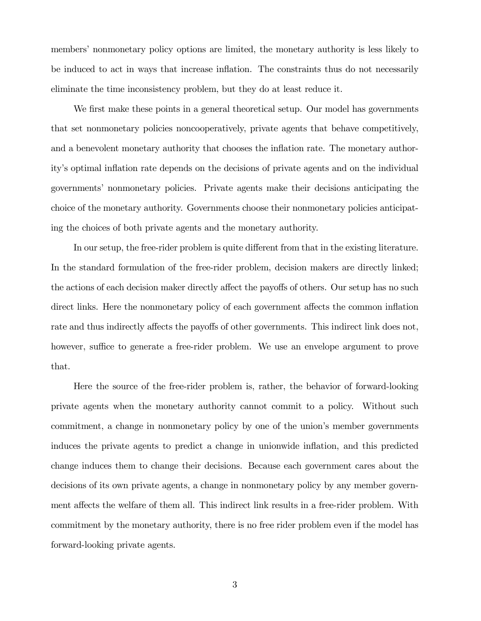members' nonmonetary policy options are limited, the monetary authority is less likely to be induced to act in ways that increase inflation. The constraints thus do not necessarily eliminate the time inconsistency problem, but they do at least reduce it.

We first make these points in a general theoretical setup. Our model has governments that set nonmonetary policies noncooperatively, private agents that behave competitively, and a benevolent monetary authority that chooses the inflation rate. The monetary authority's optimal inflation rate depends on the decisions of private agents and on the individual governments' nonmonetary policies. Private agents make their decisions anticipating the choice of the monetary authority. Governments choose their nonmonetary policies anticipating the choices of both private agents and the monetary authority.

In our setup, the free-rider problem is quite different from that in the existing literature. In the standard formulation of the free-rider problem, decision makers are directly linked; the actions of each decision maker directly affect the payoffs of others. Our setup has no such direct links. Here the nonmonetary policy of each government affects the common inflation rate and thus indirectly affects the payoffs of other governments. This indirect link does not, however, suffice to generate a free-rider problem. We use an envelope argument to prove that.

Here the source of the free-rider problem is, rather, the behavior of forward-looking private agents when the monetary authority cannot commit to a policy. Without such commitment, a change in nonmonetary policy by one of the union's member governments induces the private agents to predict a change in unionwide inflation, and this predicted change induces them to change their decisions. Because each government cares about the decisions of its own private agents, a change in nonmonetary policy by any member government affects the welfare of them all. This indirect link results in a free-rider problem. With commitment by the monetary authority, there is no free rider problem even if the model has forward-looking private agents.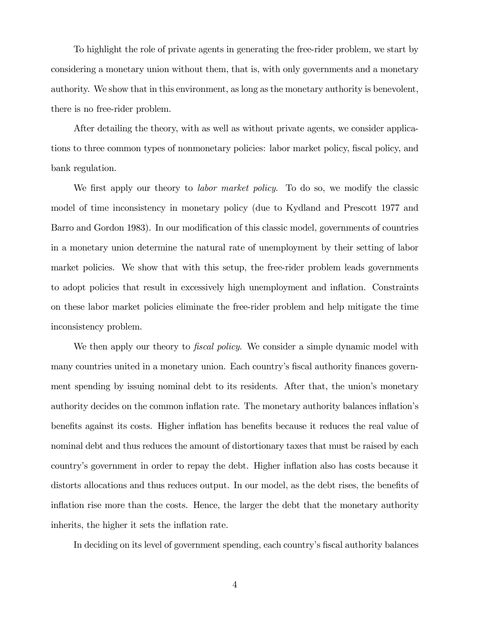To highlight the role of private agents in generating the free-rider problem, we start by considering a monetary union without them, that is, with only governments and a monetary authority. We show that in this environment, as long as the monetary authority is benevolent, there is no free-rider problem.

After detailing the theory, with as well as without private agents, we consider applications to three common types of nonmonetary policies: labor market policy, fiscal policy, and bank regulation.

We first apply our theory to *labor market policy*. To do so, we modify the classic model of time inconsistency in monetary policy (due to Kydland and Prescott 1977 and Barro and Gordon 1983). In our modification of this classic model, governments of countries in a monetary union determine the natural rate of unemployment by their setting of labor market policies. We show that with this setup, the free-rider problem leads governments to adopt policies that result in excessively high unemployment and inflation. Constraints on these labor market policies eliminate the free-rider problem and help mitigate the time inconsistency problem.

We then apply our theory to *fiscal policy*. We consider a simple dynamic model with many countries united in a monetary union. Each country's fiscal authority finances government spending by issuing nominal debt to its residents. After that, the union's monetary authority decides on the common inflation rate. The monetary authority balances inflation's benefits against its costs. Higher inflation has benefits because it reduces the real value of nominal debt and thus reduces the amount of distortionary taxes that must be raised by each country's government in order to repay the debt. Higher inflation also has costs because it distorts allocations and thus reduces output. In our model, as the debt rises, the benefits of inflation rise more than the costs. Hence, the larger the debt that the monetary authority inherits, the higher it sets the inflation rate.

In deciding on its level of government spending, each country's fiscal authority balances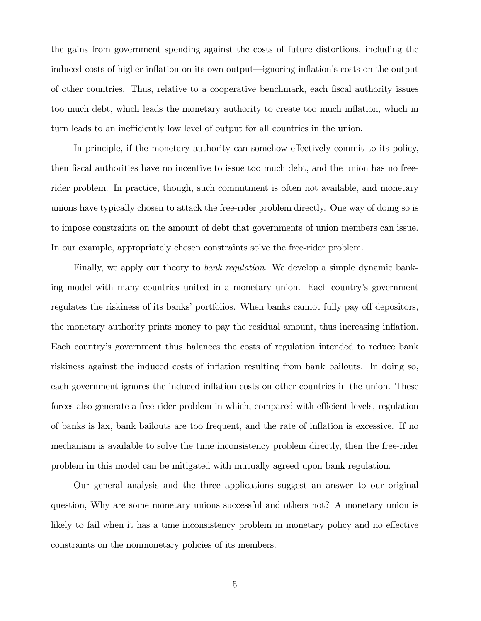the gains from government spending against the costs of future distortions, including the induced costs of higher inflation on its own output–ignoring inflation's costs on the output of other countries. Thus, relative to a cooperative benchmark, each fiscal authority issues too much debt, which leads the monetary authority to create too much inflation, which in turn leads to an inefficiently low level of output for all countries in the union.

In principle, if the monetary authority can somehow effectively commit to its policy, then fiscal authorities have no incentive to issue too much debt, and the union has no freerider problem. In practice, though, such commitment is often not available, and monetary unions have typically chosen to attack the free-rider problem directly. One way of doing so is to impose constraints on the amount of debt that governments of union members can issue. In our example, appropriately chosen constraints solve the free-rider problem.

Finally, we apply our theory to *bank regulation*. We develop a simple dynamic banking model with many countries united in a monetary union. Each country's government regulates the riskiness of its banks' portfolios. When banks cannot fully pay off depositors, the monetary authority prints money to pay the residual amount, thus increasing inflation. Each country's government thus balances the costs of regulation intended to reduce bank riskiness against the induced costs of inflation resulting from bank bailouts. In doing so, each government ignores the induced inflation costs on other countries in the union. These forces also generate a free-rider problem in which, compared with efficient levels, regulation of banks is lax, bank bailouts are too frequent, and the rate of inflation is excessive. If no mechanism is available to solve the time inconsistency problem directly, then the free-rider problem in this model can be mitigated with mutually agreed upon bank regulation.

Our general analysis and the three applications suggest an answer to our original question, Why are some monetary unions successful and others not? A monetary union is likely to fail when it has a time inconsistency problem in monetary policy and no effective constraints on the nonmonetary policies of its members.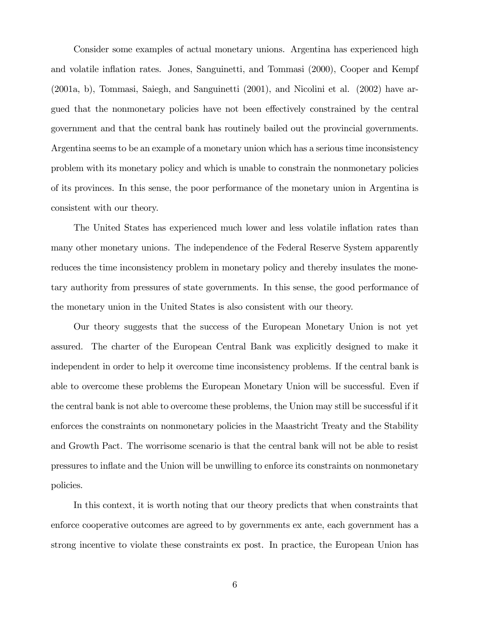Consider some examples of actual monetary unions. Argentina has experienced high and volatile inflation rates. Jones, Sanguinetti, and Tommasi (2000), Cooper and Kempf (2001a, b), Tommasi, Saiegh, and Sanguinetti (2001), and Nicolini et al. (2002) have argued that the nonmonetary policies have not been effectively constrained by the central government and that the central bank has routinely bailed out the provincial governments. Argentina seems to be an example of a monetary union which has a serious time inconsistency problem with its monetary policy and which is unable to constrain the nonmonetary policies of its provinces. In this sense, the poor performance of the monetary union in Argentina is consistent with our theory.

The United States has experienced much lower and less volatile inflation rates than many other monetary unions. The independence of the Federal Reserve System apparently reduces the time inconsistency problem in monetary policy and thereby insulates the monetary authority from pressures of state governments. In this sense, the good performance of the monetary union in the United States is also consistent with our theory.

Our theory suggests that the success of the European Monetary Union is not yet assured. The charter of the European Central Bank was explicitly designed to make it independent in order to help it overcome time inconsistency problems. If the central bank is able to overcome these problems the European Monetary Union will be successful. Even if the central bank is not able to overcome these problems, the Union may still be successful if it enforces the constraints on nonmonetary policies in the Maastricht Treaty and the Stability and Growth Pact. The worrisome scenario is that the central bank will not be able to resist pressures to inflate and the Union will be unwilling to enforce its constraints on nonmonetary policies.

In this context, it is worth noting that our theory predicts that when constraints that enforce cooperative outcomes are agreed to by governments ex ante, each government has a strong incentive to violate these constraints ex post. In practice, the European Union has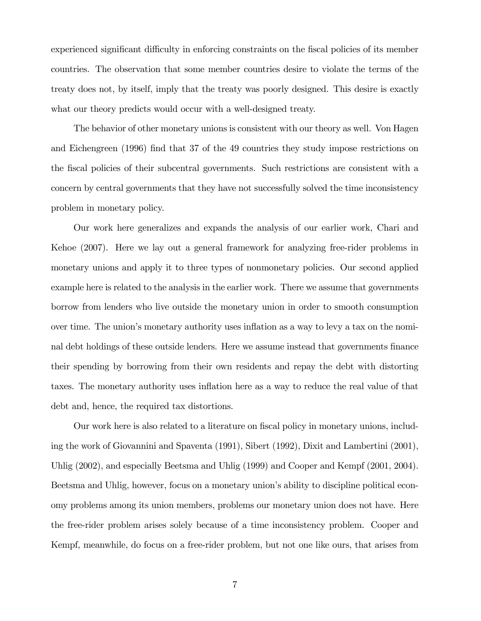experienced significant difficulty in enforcing constraints on the fiscal policies of its member countries. The observation that some member countries desire to violate the terms of the treaty does not, by itself, imply that the treaty was poorly designed. This desire is exactly what our theory predicts would occur with a well-designed treaty.

The behavior of other monetary unions is consistent with our theory as well. Von Hagen and Eichengreen (1996) find that 37 of the 49 countries they study impose restrictions on the fiscal policies of their subcentral governments. Such restrictions are consistent with a concern by central governments that they have not successfully solved the time inconsistency problem in monetary policy.

Our work here generalizes and expands the analysis of our earlier work, Chari and Kehoe (2007). Here we lay out a general framework for analyzing free-rider problems in monetary unions and apply it to three types of nonmonetary policies. Our second applied example here is related to the analysis in the earlier work. There we assume that governments borrow from lenders who live outside the monetary union in order to smooth consumption over time. The union's monetary authority uses inflation as a way to levy a tax on the nominal debt holdings of these outside lenders. Here we assume instead that governments finance their spending by borrowing from their own residents and repay the debt with distorting taxes. The monetary authority uses inflation here as a way to reduce the real value of that debt and, hence, the required tax distortions.

Our work here is also related to a literature on fiscal policy in monetary unions, including the work of Giovannini and Spaventa (1991), Sibert (1992), Dixit and Lambertini (2001), Uhlig (2002), and especially Beetsma and Uhlig (1999) and Cooper and Kempf (2001, 2004). Beetsma and Uhlig, however, focus on a monetary union's ability to discipline political economy problems among its union members, problems our monetary union does not have. Here the free-rider problem arises solely because of a time inconsistency problem. Cooper and Kempf, meanwhile, do focus on a free-rider problem, but not one like ours, that arises from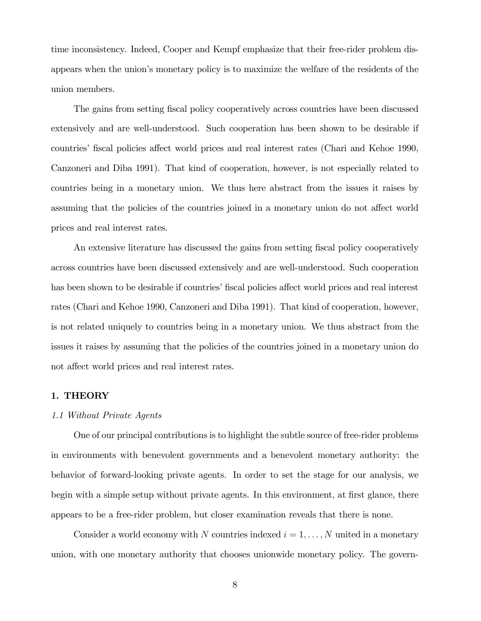time inconsistency. Indeed, Cooper and Kempf emphasize that their free-rider problem disappears when the union's monetary policy is to maximize the welfare of the residents of the union members.

The gains from setting fiscal policy cooperatively across countries have been discussed extensively and are well-understood. Such cooperation has been shown to be desirable if countries' fiscal policies affect world prices and real interest rates (Chari and Kehoe 1990, Canzoneri and Diba 1991). That kind of cooperation, however, is not especially related to countries being in a monetary union. We thus here abstract from the issues it raises by assuming that the policies of the countries joined in a monetary union do not affect world prices and real interest rates.

An extensive literature has discussed the gains from setting fiscal policy cooperatively across countries have been discussed extensively and are well-understood. Such cooperation has been shown to be desirable if countries' fiscal policies affect world prices and real interest rates (Chari and Kehoe 1990, Canzoneri and Diba 1991). That kind of cooperation, however, is not related uniquely to countries being in a monetary union. We thus abstract from the issues it raises by assuming that the policies of the countries joined in a monetary union do not affect world prices and real interest rates.

### 1. THEORY

#### 1.1 Without Private Agents

One of our principal contributions is to highlight the subtle source of free-rider problems in environments with benevolent governments and a benevolent monetary authority: the behavior of forward-looking private agents. In order to set the stage for our analysis, we begin with a simple setup without private agents. In this environment, at first glance, there appears to be a free-rider problem, but closer examination reveals that there is none.

Consider a world economy with N countries indexed  $i = 1, \ldots, N$  united in a monetary union, with one monetary authority that chooses unionwide monetary policy. The govern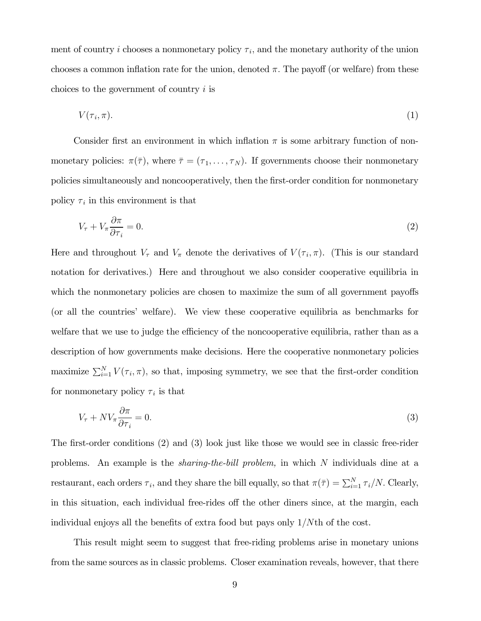ment of country i chooses a nonmonetary policy  $\tau_i$ , and the monetary authority of the union chooses a common inflation rate for the union, denoted  $\pi$ . The payoff (or welfare) from these choices to the government of country i is

$$
V(\tau_i, \pi). \tag{1}
$$

Consider first an environment in which inflation  $\pi$  is some arbitrary function of nonmonetary policies:  $\pi(\bar{\tau})$ , where  $\bar{\tau} = (\tau_1, \ldots, \tau_N)$ . If governments choose their nonmonetary policies simultaneously and noncooperatively, then the first-order condition for nonmonetary policy  $\tau_i$  in this environment is that

$$
V_{\tau} + V_{\pi} \frac{\partial \pi}{\partial \tau_i} = 0. \tag{2}
$$

Here and throughout  $V_{\tau}$  and  $V_{\pi}$  denote the derivatives of  $V(\tau_i, \pi)$ . (This is our standard notation for derivatives.) Here and throughout we also consider cooperative equilibria in which the nonmonetary policies are chosen to maximize the sum of all government payoffs (or all the countries' welfare). We view these cooperative equilibria as benchmarks for welfare that we use to judge the efficiency of the noncooperative equilibria, rather than as a description of how governments make decisions. Here the cooperative nonmonetary policies maximize  $\sum_{i=1}^{N} V(\tau_i, \pi)$ , so that, imposing symmetry, we see that the first-order condition for nonmonetary policy  $\tau_i$  is that

$$
V_{\tau} + NV_{\pi} \frac{\partial \pi}{\partial \tau_i} = 0. \tag{3}
$$

The first-order conditions (2) and (3) look just like those we would see in classic free-rider problems. An example is the sharing-the-bill problem, in which N individuals dine at a restaurant, each orders  $\tau_i$ , and they share the bill equally, so that  $\pi(\bar{\tau}) = \sum_{i=1}^{N} \tau_i/N$ . Clearly, in this situation, each individual free-rides off the other diners since, at the margin, each individual enjoys all the benefits of extra food but pays only 1/Nth of the cost.

This result might seem to suggest that free-riding problems arise in monetary unions from the same sources as in classic problems. Closer examination reveals, however, that there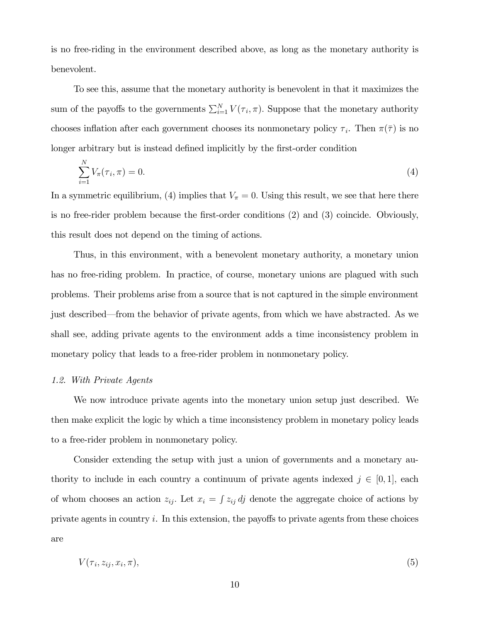is no free-riding in the environment described above, as long as the monetary authority is benevolent.

To see this, assume that the monetary authority is benevolent in that it maximizes the sum of the payoffs to the governments  $\sum_{i=1}^{N} V(\tau_i, \pi)$ . Suppose that the monetary authority chooses inflation after each government chooses its nonmonetary policy  $\tau_i$ . Then  $\pi(\bar{\tau})$  is no longer arbitrary but is instead defined implicitly by the first-order condition

$$
\sum_{i=1}^{N} V_{\pi}(\tau_i, \pi) = 0.
$$
\n(4)

In a symmetric equilibrium, (4) implies that  $V_{\pi} = 0$ . Using this result, we see that here there is no free-rider problem because the first-order conditions (2) and (3) coincide. Obviously, this result does not depend on the timing of actions.

Thus, in this environment, with a benevolent monetary authority, a monetary union has no free-riding problem. In practice, of course, monetary unions are plagued with such problems. Their problems arise from a source that is not captured in the simple environment just described–from the behavior of private agents, from which we have abstracted. As we shall see, adding private agents to the environment adds a time inconsistency problem in monetary policy that leads to a free-rider problem in nonmonetary policy.

#### 1.2. With Private Agents

We now introduce private agents into the monetary union setup just described. We then make explicit the logic by which a time inconsistency problem in monetary policy leads to a free-rider problem in nonmonetary policy.

Consider extending the setup with just a union of governments and a monetary authority to include in each country a continuum of private agents indexed  $j \in [0,1]$ , each of whom chooses an action  $z_{ij}$ . Let  $x_i = \int z_{ij} \, dj$  denote the aggregate choice of actions by private agents in country  $i$ . In this extension, the payoffs to private agents from these choices are

$$
V(\tau_i, z_{ij}, x_i, \pi), \tag{5}
$$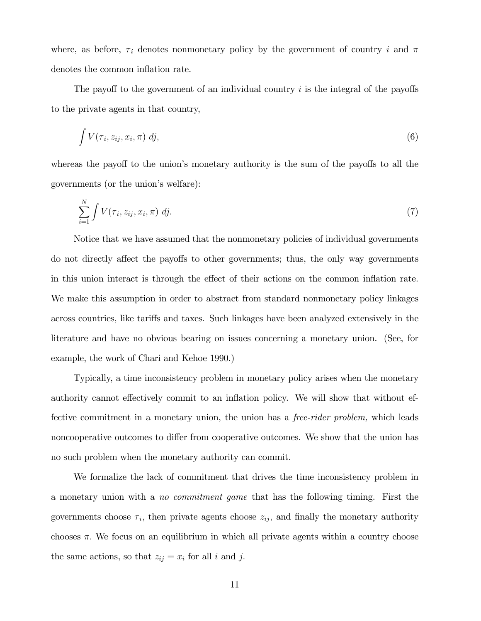where, as before,  $\tau_i$  denotes nonmonetary policy by the government of country i and  $\pi$ denotes the common inflation rate.

The payoff to the government of an individual country  $i$  is the integral of the payoffs to the private agents in that country,

$$
\int V(\tau_i, z_{ij}, x_i, \pi) \, dj,\tag{6}
$$

whereas the payoff to the union's monetary authority is the sum of the payoffs to all the governments (or the union's welfare):

$$
\sum_{i=1}^{N} \int V(\tau_i, z_{ij}, x_i, \pi) \, dj. \tag{7}
$$

Notice that we have assumed that the nonmonetary policies of individual governments do not directly affect the payoffs to other governments; thus, the only way governments in this union interact is through the effect of their actions on the common inflation rate. We make this assumption in order to abstract from standard nonmonetary policy linkages across countries, like tariffs and taxes. Such linkages have been analyzed extensively in the literature and have no obvious bearing on issues concerning a monetary union. (See, for example, the work of Chari and Kehoe 1990.)

Typically, a time inconsistency problem in monetary policy arises when the monetary authority cannot effectively commit to an inflation policy. We will show that without effective commitment in a monetary union, the union has a *free-rider problem*, which leads noncooperative outcomes to differ from cooperative outcomes. We show that the union has no such problem when the monetary authority can commit.

We formalize the lack of commitment that drives the time inconsistency problem in a monetary union with a no commitment game that has the following timing. First the governments choose  $\tau_i$ , then private agents choose  $z_{ij}$ , and finally the monetary authority chooses  $\pi$ . We focus on an equilibrium in which all private agents within a country choose the same actions, so that  $z_{ij} = x_i$  for all i and j.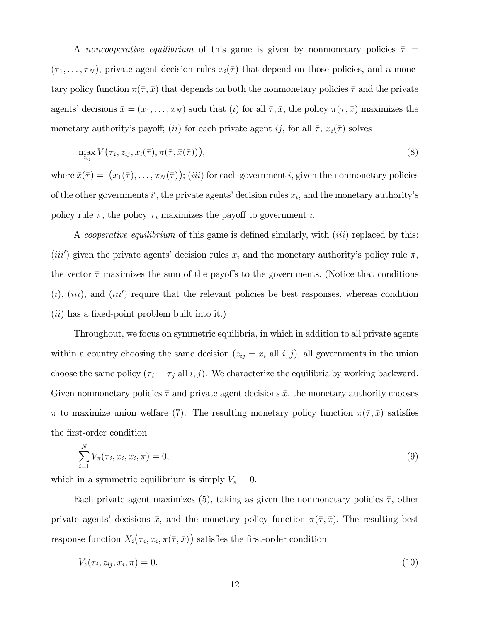A noncooperative equilibrium of this game is given by nonmonetary policies  $\bar{\tau}$  =  $(\tau_1,\ldots,\tau_N)$ , private agent decision rules  $x_i(\bar{\tau})$  that depend on those policies, and a monetary policy function  $\pi(\bar{\tau}, \bar{x})$  that depends on both the nonmonetary policies  $\bar{\tau}$  and the private agents' decisions  $\bar{x} = (x_1, \ldots, x_N)$  such that  $(i)$  for all  $\bar{\tau}, \bar{x}$ , the policy  $\pi(\tau, \bar{x})$  maximizes the monetary authority's payoff; (ii) for each private agent ij, for all  $\bar{\tau}$ ,  $x_i(\bar{\tau})$  solves

$$
\max_{z_{ij}} V(\tau_i, z_{ij}, x_i(\overline{\tau}), \pi(\overline{\tau}, \overline{x}(\overline{\tau}))), \tag{8}
$$

where  $\bar{x}(\bar{\tau}) = (x_1(\bar{\tau}), \ldots, x_N(\bar{\tau}))$ ; (*iii*) for each government *i*, given the nonmonetary policies of the other governments  $i'$ , the private agents' decision rules  $x_i$ , and the monetary authority's policy rule  $\pi$ , the policy  $\tau_i$  maximizes the payoff to government *i*.

A cooperative equilibrium of this game is defined similarly, with (iii) replaced by this: (iii') given the private agents' decision rules  $x_i$  and the monetary authority's policy rule  $\pi$ , the vector  $\bar{\tau}$  maximizes the sum of the payoffs to the governments. (Notice that conditions  $(i)$ ,  $(iii)$ , and  $(iii')$  require that the relevant policies be best responses, whereas condition  $(ii)$  has a fixed-point problem built into it.)

Throughout, we focus on symmetric equilibria, in which in addition to all private agents within a country choosing the same decision  $(z_{ij} = x_i \text{ all } i, j)$ , all governments in the union choose the same policy  $(\tau_i = \tau_j \text{ all } i, j)$ . We characterize the equilibria by working backward. Given nonmonetary policies  $\bar{\tau}$  and private agent decisions  $\bar{x}$ , the monetary authority chooses π to maximize union welfare (7). The resulting monetary policy function  $\pi(\bar{\tau}, \bar{x})$  satisfies the first-order condition

$$
\sum_{i=1}^{N} V_{\pi}(\tau_i, x_i, x_i, \pi) = 0, \tag{9}
$$

which in a symmetric equilibrium is simply  $V_{\pi} = 0$ .

Each private agent maximizes (5), taking as given the nonmonetary policies  $\bar{\tau}$ , other private agents' decisions  $\bar{x}$ , and the monetary policy function  $\pi(\bar{\tau}, \bar{x})$ . The resulting best response function  $X_i(\tau_i, x_i, \pi(\bar{\tau}, \bar{x}))$  satisfies the first-order condition

$$
V_z(\tau_i, z_{ij}, x_i, \pi) = 0. \tag{10}
$$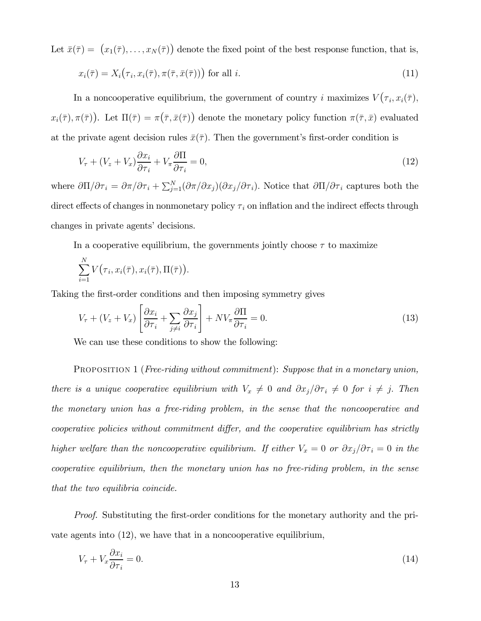Let  $\bar{x}(\bar{\tau}) = (x_1(\bar{\tau}), \ldots, x_N(\bar{\tau}))$  denote the fixed point of the best response function, that is,

$$
x_i(\overline{\tau}) = X_i(\tau_i, x_i(\overline{\tau}), \pi(\overline{\tau}, \overline{x}(\overline{\tau}))) \text{ for all } i.
$$
 (11)

In a noncooperative equilibrium, the government of country i maximizes  $V(\tau_i, x_i(\bar{\tau}),$  $x_i(\bar{\tau}), \pi(\bar{\tau})$ . Let  $\Pi(\bar{\tau}) = \pi(\bar{\tau}, \bar{x}(\bar{\tau}))$  denote the monetary policy function  $\pi(\bar{\tau}, \bar{x})$  evaluated at the private agent decision rules  $\bar{x}(\bar{\tau})$ . Then the government's first-order condition is

$$
V_{\tau} + (V_z + V_x) \frac{\partial x_i}{\partial \tau_i} + V_{\pi} \frac{\partial \Pi}{\partial \tau_i} = 0,
$$
\n(12)

where  $\partial\Pi/\partial\tau_i = \partial\pi/\partial\tau_i + \sum_{j=1}^N(\partial\pi/\partial x_j)(\partial x_j/\partial\tau_i)$ . Notice that  $\partial\Pi/\partial\tau_i$  captures both the direct effects of changes in nonmonetary policy  $\tau_i$  on inflation and the indirect effects through changes in private agents' decisions.

In a cooperative equilibrium, the governments jointly choose  $\tau$  to maximize

$$
\sum_{i=1}^N V(\tau_i, x_i(\overline{\tau}), x_i(\overline{\tau}), \Pi(\overline{\tau})).
$$

Taking the first-order conditions and then imposing symmetry gives

$$
V_{\tau} + (V_z + V_x) \left[ \frac{\partial x_i}{\partial \tau_i} + \sum_{j \neq i} \frac{\partial x_j}{\partial \tau_i} \right] + NV_{\pi} \frac{\partial \Pi}{\partial \tau_i} = 0.
$$
 (13)

We can use these conditions to show the following:

PROPOSITION 1 (*Free-riding without commitment*): Suppose that in a monetary union, there is a unique cooperative equilibrium with  $V_x \neq 0$  and  $\partial x_j/\partial \tau_i \neq 0$  for  $i \neq j$ . Then the monetary union has a free-riding problem, in the sense that the noncooperative and cooperative policies without commitment differ, and the cooperative equilibrium has strictly higher welfare than the noncooperative equilibrium. If either  $V_x = 0$  or  $\partial x_j / \partial \tau_i = 0$  in the cooperative equilibrium, then the monetary union has no free-riding problem, in the sense that the two equilibria coincide.

Proof. Substituting the first-order conditions for the monetary authority and the private agents into (12), we have that in a noncooperative equilibrium,

$$
V_{\tau} + V_x \frac{\partial x_i}{\partial \tau_i} = 0. \tag{14}
$$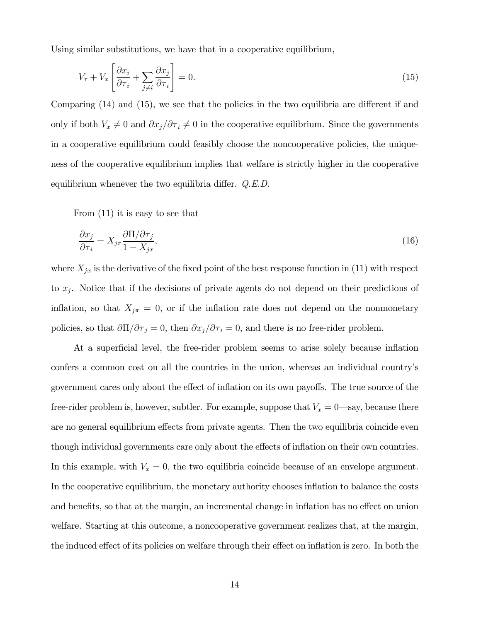Using similar substitutions, we have that in a cooperative equilibrium,

$$
V_{\tau} + V_x \left[ \frac{\partial x_i}{\partial \tau_i} + \sum_{j \neq i} \frac{\partial x_j}{\partial \tau_i} \right] = 0.
$$
 (15)

Comparing (14) and (15), we see that the policies in the two equilibria are different if and only if both  $V_x \neq 0$  and  $\partial x_j/\partial \tau_i \neq 0$  in the cooperative equilibrium. Since the governments in a cooperative equilibrium could feasibly choose the noncooperative policies, the uniqueness of the cooperative equilibrium implies that welfare is strictly higher in the cooperative equilibrium whenever the two equilibria differ. Q.E.D.

From (11) it is easy to see that

$$
\frac{\partial x_j}{\partial \tau_i} = X_{j\pi} \frac{\partial \Pi/\partial \tau_j}{1 - X_{jx}},\tag{16}
$$

where  $X_{jx}$  is the derivative of the fixed point of the best response function in (11) with respect to  $x_i$ . Notice that if the decisions of private agents do not depend on their predictions of inflation, so that  $X_{j\pi} = 0$ , or if the inflation rate does not depend on the nonmonetary policies, so that  $\partial \Pi/\partial \tau_j = 0$ , then  $\partial x_j/\partial \tau_i = 0$ , and there is no free-rider problem.

At a superficial level, the free-rider problem seems to arise solely because inflation confers a common cost on all the countries in the union, whereas an individual country's government cares only about the effect of inflation on its own payoffs. The true source of the free-rider problem is, however, subtler. For example, suppose that  $V_x = 0$ —say, because there are no general equilibrium effects from private agents. Then the two equilibria coincide even though individual governments care only about the effects of inflation on their own countries. In this example, with  $V_x = 0$ , the two equilibria coincide because of an envelope argument. In the cooperative equilibrium, the monetary authority chooses inflation to balance the costs and benefits, so that at the margin, an incremental change in inflation has no effect on union welfare. Starting at this outcome, a noncooperative government realizes that, at the margin, the induced effect of its policies on welfare through their effect on inflation is zero. In both the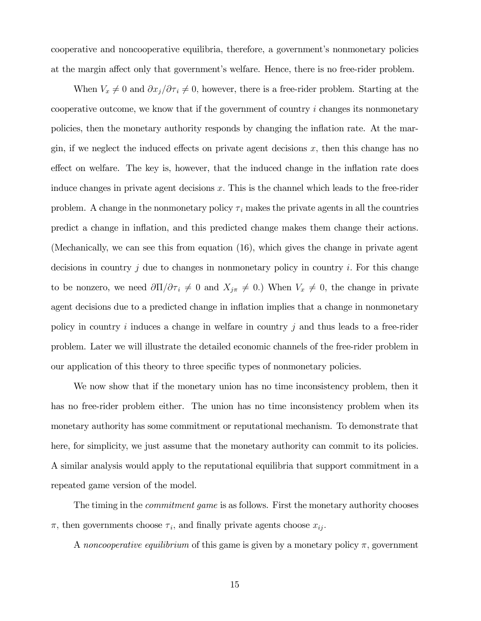cooperative and noncooperative equilibria, therefore, a government's nonmonetary policies at the margin affect only that government's welfare. Hence, there is no free-rider problem.

When  $V_x \neq 0$  and  $\partial x_j/\partial \tau_i \neq 0$ , however, there is a free-rider problem. Starting at the cooperative outcome, we know that if the government of country  $i$  changes its nonmonetary policies, then the monetary authority responds by changing the inflation rate. At the margin, if we neglect the induced effects on private agent decisions  $x$ , then this change has no effect on welfare. The key is, however, that the induced change in the inflation rate does induce changes in private agent decisions  $x$ . This is the channel which leads to the free-rider problem. A change in the nonmonetary policy  $\tau_i$  makes the private agents in all the countries predict a change in inflation, and this predicted change makes them change their actions. (Mechanically, we can see this from equation (16), which gives the change in private agent decisions in country  $j$  due to changes in nonmonetary policy in country  $i$ . For this change to be nonzero, we need  $\partial\Pi/\partial\tau_i \neq 0$  and  $X_{j\pi} \neq 0$ .) When  $V_x \neq 0$ , the change in private agent decisions due to a predicted change in inflation implies that a change in nonmonetary policy in country  $i$  induces a change in welfare in country  $j$  and thus leads to a free-rider problem. Later we will illustrate the detailed economic channels of the free-rider problem in our application of this theory to three specific types of nonmonetary policies.

We now show that if the monetary union has no time inconsistency problem, then it has no free-rider problem either. The union has no time inconsistency problem when its monetary authority has some commitment or reputational mechanism. To demonstrate that here, for simplicity, we just assume that the monetary authority can commit to its policies. A similar analysis would apply to the reputational equilibria that support commitment in a repeated game version of the model.

The timing in the *commitment game* is as follows. First the monetary authority chooses  $\pi$ , then governments choose  $\tau_i$ , and finally private agents choose  $x_{ij}$ .

A noncooperative equilibrium of this game is given by a monetary policy  $\pi$ , government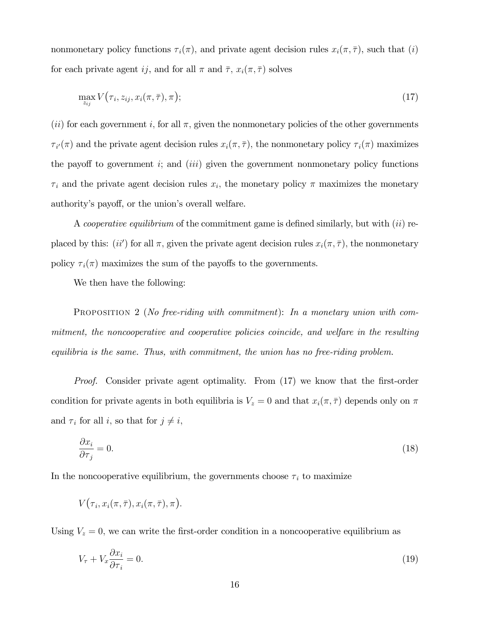nonmonetary policy functions  $\tau_i(\pi)$ , and private agent decision rules  $x_i(\pi, \overline{\tau})$ , such that (i) for each private agent ij, and for all  $\pi$  and  $\bar{\tau}$ ,  $x_i(\pi, \bar{\tau})$  solves

$$
\max_{z_{ij}} V(\tau_i, z_{ij}, x_i(\pi, \overline{\tau}), \pi); \tag{17}
$$

 $(ii)$  for each government i, for all  $\pi$ , given the nonmonetary policies of the other governments  $\tau_{i'}(\pi)$  and the private agent decision rules  $x_i(\pi, \overline{\tau})$ , the nonmonetary policy  $\tau_i(\pi)$  maximizes the payoff to government  $i$ ; and  $(iii)$  given the government nonmonetary policy functions  $\tau_i$  and the private agent decision rules  $x_i$ , the monetary policy  $\pi$  maximizes the monetary authority's payoff, or the union's overall welfare.

A *cooperative equilibrium* of the commitment game is defined similarly, but with  $(ii)$  replaced by this: (ii') for all  $\pi$ , given the private agent decision rules  $x_i(\pi, \overline{\tau})$ , the nonmonetary policy  $\tau_i(\pi)$  maximizes the sum of the payoffs to the governments.

We then have the following:

PROPOSITION 2 (No free-riding with commitment): In a monetary union with commitment, the noncooperative and cooperative policies coincide, and welfare in the resulting equilibria is the same. Thus, with commitment, the union has no free-riding problem.

Proof. Consider private agent optimality. From (17) we know that the first-order condition for private agents in both equilibria is  $V_z = 0$  and that  $x_i(\pi, \overline{\tau})$  depends only on  $\pi$ and  $\tau_i$  for all i, so that for  $j \neq i$ ,

$$
\frac{\partial x_i}{\partial \tau_j} = 0. \tag{18}
$$

In the noncooperative equilibrium, the governments choose  $\tau_i$  to maximize

$$
V(\tau_i, x_i(\pi, \overline{\tau}), x_i(\pi, \overline{\tau}), \pi).
$$

Using  $V_z = 0$ , we can write the first-order condition in a noncooperative equilibrium as

$$
V_{\tau} + V_x \frac{\partial x_i}{\partial \tau_i} = 0. \tag{19}
$$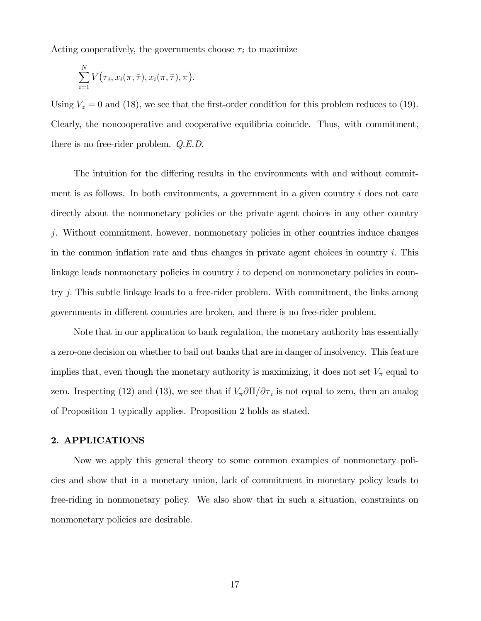Acting cooperatively, the governments choose  $\tau_i$  to maximize

$$
\sum_{i=1}^N V(\tau_i, x_i(\pi, \overline{\tau}), x_i(\pi, \overline{\tau}), \pi).
$$

Using  $V_z = 0$  and (18), we see that the first-order condition for this problem reduces to (19). Clearly, the noncooperative and cooperative equilibria coincide. Thus, with commitment, there is no free-rider problem. Q.E.D.

The intuition for the differing results in the environments with and without commitment is as follows. In both environments, a government in a given country  $i$  does not care directly about the nonmonetary policies or the private agent choices in any other country j. Without commitment, however, nonmonetary policies in other countries induce changes in the common inflation rate and thus changes in private agent choices in country  $i$ . This linkage leads nonmonetary policies in country i to depend on nonmonetary policies in country j. This subtle linkage leads to a free-rider problem. With commitment, the links among governments in different countries are broken, and there is no free-rider problem.

Note that in our application to bank regulation, the monetary authority has essentially a zero-one decision on whether to bail out banks that are in danger of insolvency. This feature implies that, even though the monetary authority is maximizing, it does not set  $V_{\pi}$  equal to zero. Inspecting (12) and (13), we see that if  $V_{\pi} \partial \Pi / \partial \tau_i$  is not equal to zero, then an analog of Proposition 1 typically applies. Proposition 2 holds as stated.

# 2. APPLICATIONS

Now we apply this general theory to some common examples of nonmonetary policies and show that in a monetary union, lack of commitment in monetary policy leads to free-riding in nonmonetary policy. We also show that in such a situation, constraints on nonmonetary policies are desirable.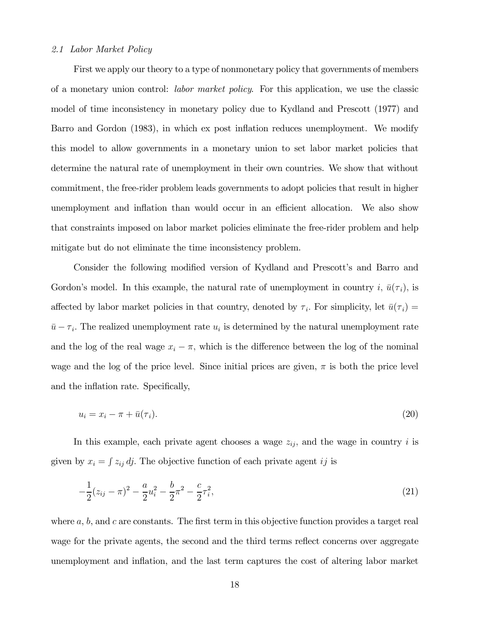#### 2.1 Labor Market Policy

First we apply our theory to a type of nonmonetary policy that governments of members of a monetary union control: labor market policy. For this application, we use the classic model of time inconsistency in monetary policy due to Kydland and Prescott (1977) and Barro and Gordon (1983), in which ex post inflation reduces unemployment. We modify this model to allow governments in a monetary union to set labor market policies that determine the natural rate of unemployment in their own countries. We show that without commitment, the free-rider problem leads governments to adopt policies that result in higher unemployment and inflation than would occur in an efficient allocation. We also show that constraints imposed on labor market policies eliminate the free-rider problem and help mitigate but do not eliminate the time inconsistency problem.

Consider the following modified version of Kydland and Prescott's and Barro and Gordon's model. In this example, the natural rate of unemployment in country i,  $\bar{u}(\tau_i)$ , is affected by labor market policies in that country, denoted by  $\tau_i$ . For simplicity, let  $\bar{u}(\tau_i)$  =  $\bar{u} - \tau_i$ . The realized unemployment rate  $u_i$  is determined by the natural unemployment rate and the log of the real wage  $x_i - \pi$ , which is the difference between the log of the nominal wage and the log of the price level. Since initial prices are given,  $\pi$  is both the price level and the inflation rate. Specifically,

$$
u_i = x_i - \pi + \bar{u}(\tau_i). \tag{20}
$$

In this example, each private agent chooses a wage  $z_{ij}$ , and the wage in country i is given by  $x_i = \int z_{ij} \, dj$ . The objective function of each private agent ij is

$$
-\frac{1}{2}(z_{ij}-\pi)^2 - \frac{a}{2}u_i^2 - \frac{b}{2}\pi^2 - \frac{c}{2}\tau_i^2,
$$
\n(21)

where  $a, b$ , and c are constants. The first term in this objective function provides a target real wage for the private agents, the second and the third terms reflect concerns over aggregate unemployment and inflation, and the last term captures the cost of altering labor market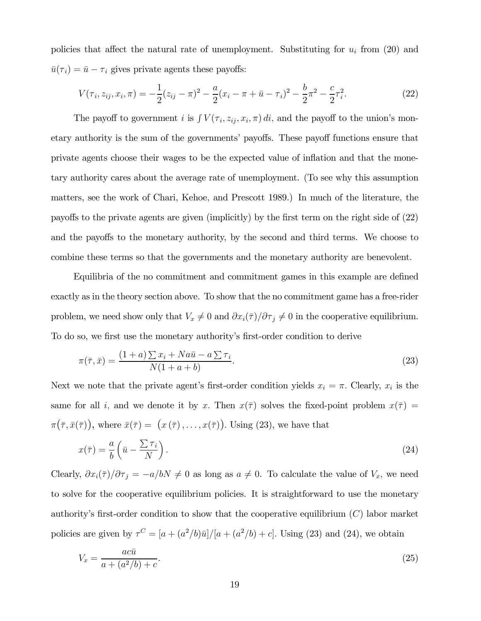policies that affect the natural rate of unemployment. Substituting for  $u_i$  from (20) and  $\bar{u}(\tau_i)=\bar{u}-\tau_i$  gives private agents these payoffs:

$$
V(\tau_i, z_{ij}, x_i, \pi) = -\frac{1}{2}(z_{ij} - \pi)^2 - \frac{a}{2}(x_i - \pi + \bar{u} - \tau_i)^2 - \frac{b}{2}\pi^2 - \frac{c}{2}\tau_i^2.
$$
 (22)

The payoff to government i is  $\int V(\tau_i, z_{ij}, x_i, \pi) dt$ , and the payoff to the union's monetary authority is the sum of the governments' payoffs. These payoff functions ensure that private agents choose their wages to be the expected value of inflation and that the monetary authority cares about the average rate of unemployment. (To see why this assumption matters, see the work of Chari, Kehoe, and Prescott 1989.) In much of the literature, the payoffs to the private agents are given (implicitly) by the first term on the right side of (22) and the payoffs to the monetary authority, by the second and third terms. We choose to combine these terms so that the governments and the monetary authority are benevolent.

Equilibria of the no commitment and commitment games in this example are defined exactly as in the theory section above. To show that the no commitment game has a free-rider problem, we need show only that  $V_x \neq 0$  and  $\partial x_i(\bar{\tau})/\partial \tau_j \neq 0$  in the cooperative equilibrium. To do so, we first use the monetary authority's first-order condition to derive

$$
\pi(\bar{\tau}, \bar{x}) = \frac{(1+a)\sum x_i + N a \bar{u} - a \sum \tau_i}{N(1+a+b)}.\tag{23}
$$

Next we note that the private agent's first-order condition yields  $x_i = \pi$ . Clearly,  $x_i$  is the same for all i, and we denote it by x. Then  $x(\bar{\tau})$  solves the fixed-point problem  $x(\bar{\tau}) =$  $\pi(\bar{\tau}, \bar{x}(\bar{\tau})),$  where  $\bar{x}(\bar{\tau}) = (x(\bar{\tau}), \ldots, x(\bar{\tau})).$  Using (23), we have that

$$
x(\bar{\tau}) = \frac{a}{b} \left( \bar{u} - \frac{\sum \tau_i}{N} \right). \tag{24}
$$

Clearly,  $\partial x_i(\bar{\tau})/\partial \tau_j = -a/bN \neq 0$  as long as  $a \neq 0$ . To calculate the value of  $V_x$ , we need to solve for the cooperative equilibrium policies. It is straightforward to use the monetary authority's first-order condition to show that the cooperative equilibrium  $(C)$  labor market policies are given by  $\tau^C = [a + (a^2/b)\bar{u}]/[a + (a^2/b) + c]$ . Using (23) and (24), we obtain

$$
V_x = \frac{ac\bar{u}}{a + (a^2/b) + c}.\tag{25}
$$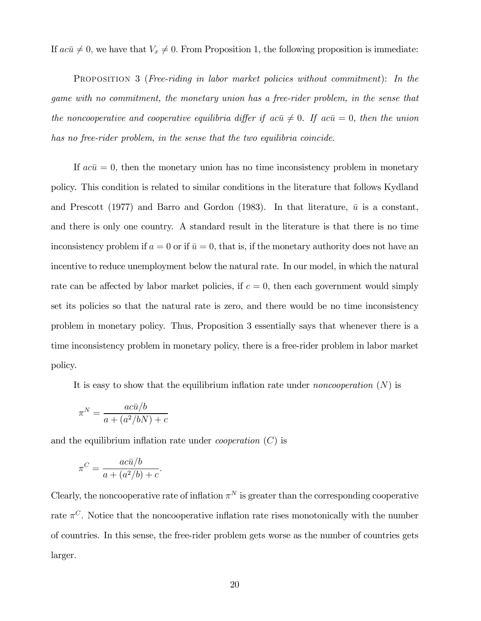If  $ac\bar{u}\neq 0$ , we have that  $V_x\neq 0$ . From Proposition 1, the following proposition is immediate:

Proposition 3 (Free-riding in labor market policies without commitment): In the game with no commitment, the monetary union has a free-rider problem, in the sense that the noncooperative and cooperative equilibria differ if acu  $\neq 0$ . If acu = 0, then the union has no free-rider problem, in the sense that the two equilibria coincide.

If  $ac\bar{u}=0$ , then the monetary union has no time inconsistency problem in monetary policy. This condition is related to similar conditions in the literature that follows Kydland and Prescott (1977) and Barro and Gordon (1983). In that literature,  $\bar{u}$  is a constant, and there is only one country. A standard result in the literature is that there is no time inconsistency problem if  $a = 0$  or if  $\bar{u} = 0$ , that is, if the monetary authority does not have an incentive to reduce unemployment below the natural rate. In our model, in which the natural rate can be affected by labor market policies, if  $c = 0$ , then each government would simply set its policies so that the natural rate is zero, and there would be no time inconsistency problem in monetary policy. Thus, Proposition 3 essentially says that whenever there is a time inconsistency problem in monetary policy, there is a free-rider problem in labor market policy.

It is easy to show that the equilibrium inflation rate under *noncooperation*  $(N)$  is

$$
\pi^N = \frac{ac\bar{u}/b}{a + (a^2/bN) + c}
$$

and the equilibrium inflation rate under *cooperation*  $(C)$  is

$$
\pi^C = \frac{ac\bar{u}/b}{a + (a^2/b) + c}.
$$

Clearly, the noncooperative rate of inflation  $\pi^N$  is greater than the corresponding cooperative rate  $\pi^C$ . Notice that the noncooperative inflation rate rises monotonically with the number of countries. In this sense, the free-rider problem gets worse as the number of countries gets larger.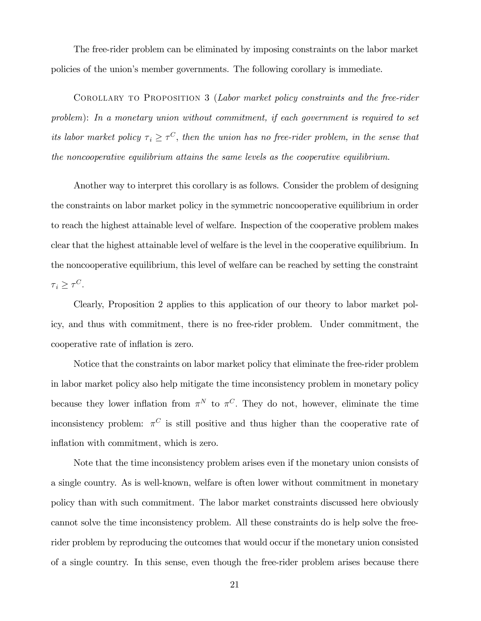The free-rider problem can be eliminated by imposing constraints on the labor market policies of the union's member governments. The following corollary is immediate.

COROLLARY TO PROPOSITION 3 (Labor market policy constraints and the free-rider problem): In a monetary union without commitment, if each government is required to set its labor market policy  $\tau_i \geq \tau^C$ , then the union has no free-rider problem, in the sense that the noncooperative equilibrium attains the same levels as the cooperative equilibrium.

Another way to interpret this corollary is as follows. Consider the problem of designing the constraints on labor market policy in the symmetric noncooperative equilibrium in order to reach the highest attainable level of welfare. Inspection of the cooperative problem makes clear that the highest attainable level of welfare is the level in the cooperative equilibrium. In the noncooperative equilibrium, this level of welfare can be reached by setting the constraint  $\tau_i \geq \tau^C$ .

Clearly, Proposition 2 applies to this application of our theory to labor market policy, and thus with commitment, there is no free-rider problem. Under commitment, the cooperative rate of inflation is zero.

Notice that the constraints on labor market policy that eliminate the free-rider problem in labor market policy also help mitigate the time inconsistency problem in monetary policy because they lower inflation from  $\pi^N$  to  $\pi^C$ . They do not, however, eliminate the time inconsistency problem:  $\pi$ <sup>C</sup> is still positive and thus higher than the cooperative rate of inflation with commitment, which is zero.

Note that the time inconsistency problem arises even if the monetary union consists of a single country. As is well-known, welfare is often lower without commitment in monetary policy than with such commitment. The labor market constraints discussed here obviously cannot solve the time inconsistency problem. All these constraints do is help solve the freerider problem by reproducing the outcomes that would occur if the monetary union consisted of a single country. In this sense, even though the free-rider problem arises because there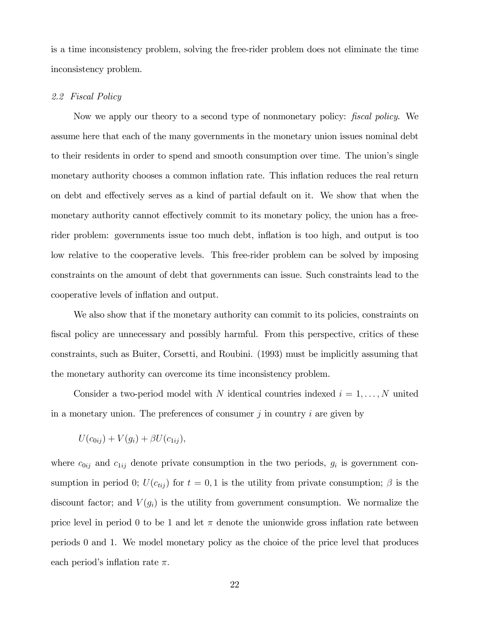is a time inconsistency problem, solving the free-rider problem does not eliminate the time inconsistency problem.

#### 2.2 Fiscal Policy

Now we apply our theory to a second type of nonmonetary policy: fiscal policy. We assume here that each of the many governments in the monetary union issues nominal debt to their residents in order to spend and smooth consumption over time. The union's single monetary authority chooses a common inflation rate. This inflation reduces the real return on debt and effectively serves as a kind of partial default on it. We show that when the monetary authority cannot effectively commit to its monetary policy, the union has a freerider problem: governments issue too much debt, inflation is too high, and output is too low relative to the cooperative levels. This free-rider problem can be solved by imposing constraints on the amount of debt that governments can issue. Such constraints lead to the cooperative levels of inflation and output.

We also show that if the monetary authority can commit to its policies, constraints on fiscal policy are unnecessary and possibly harmful. From this perspective, critics of these constraints, such as Buiter, Corsetti, and Roubini. (1993) must be implicitly assuming that the monetary authority can overcome its time inconsistency problem.

Consider a two-period model with N identical countries indexed  $i = 1, \ldots, N$  united in a monetary union. The preferences of consumer  $j$  in country  $i$  are given by

 $U(c_{0ij}) + V(g_i) + \beta U(c_{1ij}),$ 

where  $c_{0ij}$  and  $c_{1ij}$  denote private consumption in the two periods,  $g_i$  is government consumption in period 0;  $U(c_{tij})$  for  $t = 0, 1$  is the utility from private consumption;  $\beta$  is the discount factor; and  $V(g_i)$  is the utility from government consumption. We normalize the price level in period 0 to be 1 and let  $\pi$  denote the unionwide gross inflation rate between periods 0 and 1. We model monetary policy as the choice of the price level that produces each period's inflation rate  $\pi$ .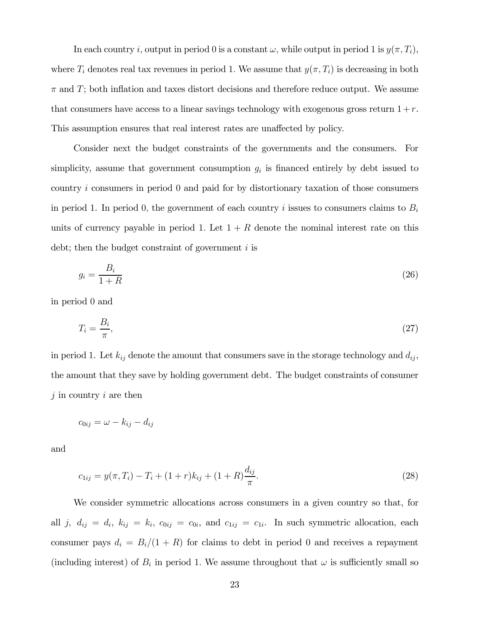In each country i, output in period 0 is a constant  $\omega$ , while output in period 1 is  $y(\pi, T_i)$ , where  $T_i$  denotes real tax revenues in period 1. We assume that  $y(\pi, T_i)$  is decreasing in both  $\pi$  and  $T$ ; both inflation and taxes distort decisions and therefore reduce output. We assume that consumers have access to a linear savings technology with exogenous gross return  $1+r$ . This assumption ensures that real interest rates are unaffected by policy.

Consider next the budget constraints of the governments and the consumers. For simplicity, assume that government consumption  $g_i$  is financed entirely by debt issued to country i consumers in period 0 and paid for by distortionary taxation of those consumers in period 1. In period 0, the government of each country i issues to consumers claims to  $B_i$ units of currency payable in period 1. Let  $1 + R$  denote the nominal interest rate on this debt; then the budget constraint of government i is

$$
g_i = \frac{B_i}{1+R} \tag{26}
$$

in period 0 and

$$
T_i = \frac{B_i}{\pi},\tag{27}
$$

in period 1. Let  $k_{ij}$  denote the amount that consumers save in the storage technology and  $d_{ij}$ , the amount that they save by holding government debt. The budget constraints of consumer  $j$  in country  $i$  are then

$$
c_{0ij} = \omega - k_{ij} - d_{ij}
$$

and

$$
c_{1ij} = y(\pi, T_i) - T_i + (1+r)k_{ij} + (1+R)\frac{d_{ij}}{\pi}.
$$
\n(28)

We consider symmetric allocations across consumers in a given country so that, for all j,  $d_{ij} = d_i$ ,  $k_{ij} = k_i$ ,  $c_{0ij} = c_{0i}$ , and  $c_{1ij} = c_{1i}$ . In such symmetric allocation, each consumer pays  $d_i = B_i/(1 + R)$  for claims to debt in period 0 and receives a repayment (including interest) of  $B_i$  in period 1. We assume throughout that  $\omega$  is sufficiently small so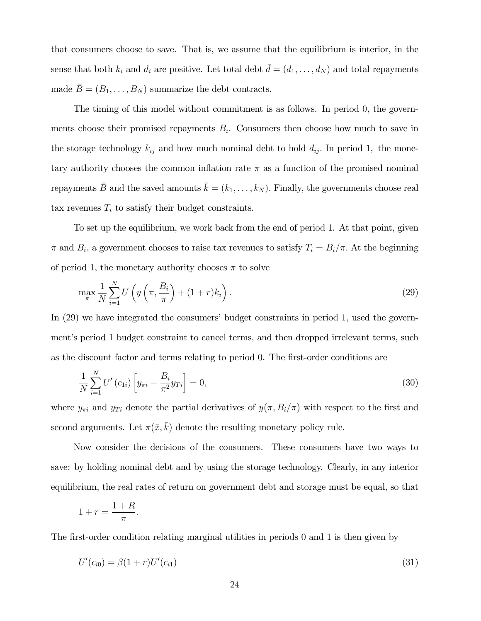that consumers choose to save. That is, we assume that the equilibrium is interior, in the sense that both  $k_i$  and  $d_i$  are positive. Let total debt  $\bar{d} = (d_1, \ldots, d_N)$  and total repayments made  $\bar{B} = (B_1, \ldots, B_N)$  summarize the debt contracts.

The timing of this model without commitment is as follows. In period 0, the governments choose their promised repayments  $B_i$ . Consumers then choose how much to save in the storage technology  $k_{ij}$  and how much nominal debt to hold  $d_{ij}$ . In period 1, the monetary authority chooses the common inflation rate  $\pi$  as a function of the promised nominal repayments  $\bar{B}$  and the saved amounts  $\bar{k} = (k_1, \ldots, k_N)$ . Finally, the governments choose real tax revenues  $T_i$  to satisfy their budget constraints.

To set up the equilibrium, we work back from the end of period 1. At that point, given  $\pi$  and  $B_i$ , a government chooses to raise tax revenues to satisfy  $T_i = B_i/\pi$ . At the beginning of period 1, the monetary authority chooses  $\pi$  to solve

$$
\max_{\pi} \frac{1}{N} \sum_{i=1}^{N} U\left(y\left(\pi, \frac{B_i}{\pi}\right) + (1+r)k_i\right). \tag{29}
$$

In (29) we have integrated the consumers' budget constraints in period 1, used the government's period 1 budget constraint to cancel terms, and then dropped irrelevant terms, such as the discount factor and terms relating to period 0. The first-order conditions are

$$
\frac{1}{N} \sum_{i=1}^{N} U'(c_{1i}) \left[ y_{\pi i} - \frac{B_i}{\pi^2} y_{Ti} \right] = 0,
$$
\n(30)

where  $y_{\pi i}$  and  $y_{Ti}$  denote the partial derivatives of  $y(\pi, B_i/\pi)$  with respect to the first and second arguments. Let  $\pi(\bar{x}, \bar{k})$  denote the resulting monetary policy rule.

Now consider the decisions of the consumers. These consumers have two ways to save: by holding nominal debt and by using the storage technology. Clearly, in any interior equilibrium, the real rates of return on government debt and storage must be equal, so that

$$
1 + r = \frac{1 + R}{\pi}.
$$

The first-order condition relating marginal utilities in periods 0 and 1 is then given by

$$
U'(c_{i0}) = \beta(1+r)U'(c_{i1})
$$
\n(31)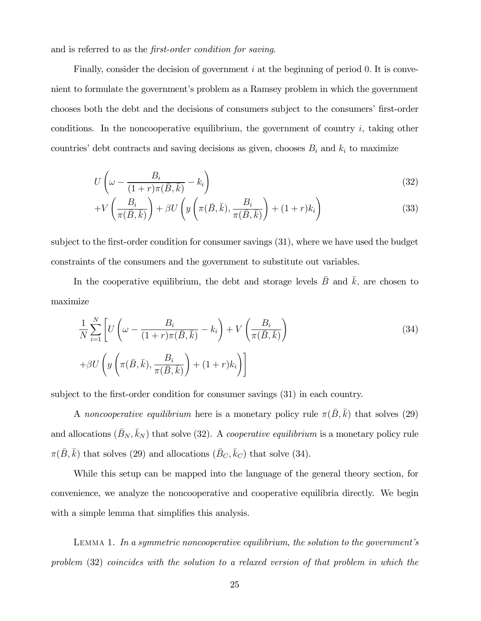and is referred to as the first-order condition for saving.

Finally, consider the decision of government i at the beginning of period 0. It is convenient to formulate the government's problem as a Ramsey problem in which the government chooses both the debt and the decisions of consumers subject to the consumers' first-order conditions. In the noncooperative equilibrium, the government of country  $i$ , taking other countries' debt contracts and saving decisions as given, chooses  $B_i$  and  $k_i$  to maximize

$$
U\left(\omega - \frac{B_i}{(1+r)\pi(\bar{B}, \bar{k})} - k_i\right) \tag{32}
$$

$$
+V\left(\frac{B_i}{\pi(\bar{B},\bar{k})}\right)+\beta U\left(y\left(\pi(\bar{B},\bar{k}),\frac{B_i}{\pi(\bar{B},\bar{k})}\right)+(1+r)k_i\right) \tag{33}
$$

subject to the first-order condition for consumer savings (31), where we have used the budget constraints of the consumers and the government to substitute out variables.

In the cooperative equilibrium, the debt and storage levels  $\bar{B}$  and  $\bar{k}$ , are chosen to maximize

$$
\frac{1}{N} \sum_{i=1}^{N} \left[ U\left(\omega - \frac{B_i}{(1+r)\pi(\bar{B}, \bar{k})} - k_i\right) + V\left(\frac{B_i}{\pi(\bar{B}, \bar{k})}\right) \right]
$$
\n
$$
+ \beta U\left(y\left(\pi(\bar{B}, \bar{k}), \frac{B_i}{\pi(\bar{B}, \bar{k})}\right) + (1+r)k_i\right) \right]
$$
\n(34)

subject to the first-order condition for consumer savings (31) in each country.

A noncooperative equilibrium here is a monetary policy rule  $\pi(\bar{B}, \bar{k})$  that solves (29) and allocations  $(\bar{B}_N, \bar{k}_N)$  that solve (32). A *cooperative equilibrium* is a monetary policy rule  $\pi(\bar{B}, \bar{k})$  that solves (29) and allocations  $(\bar{B}_C, \bar{k}_C)$  that solve (34).

While this setup can be mapped into the language of the general theory section, for convenience, we analyze the noncooperative and cooperative equilibria directly. We begin with a simple lemma that simplifies this analysis.

Lemma 1. In a symmetric noncooperative equilibrium, the solution to the government's problem (32) coincides with the solution to a relaxed version of that problem in which the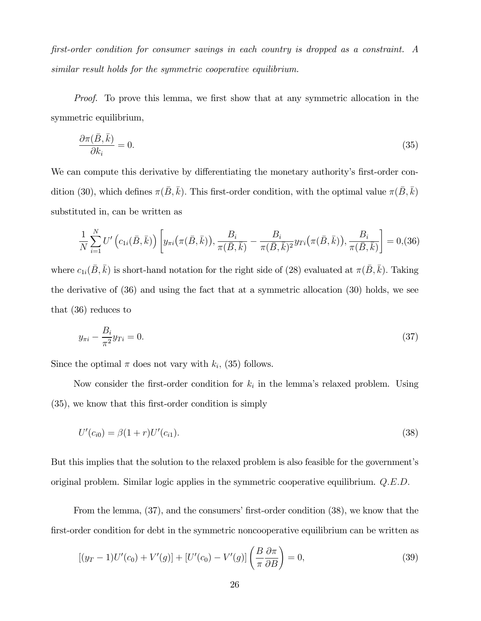first-order condition for consumer savings in each country is dropped as a constraint. A similar result holds for the symmetric cooperative equilibrium.

Proof. To prove this lemma, we first show that at any symmetric allocation in the symmetric equilibrium,

$$
\frac{\partial \pi(\bar{B}, \bar{k})}{\partial k_i} = 0. \tag{35}
$$

We can compute this derivative by differentiating the monetary authority's first-order condition (30), which defines  $\pi(\bar{B}, \bar{k})$ . This first-order condition, with the optimal value  $\pi(\bar{B}, \bar{k})$ substituted in, can be written as

$$
\frac{1}{N} \sum_{i=1}^{N} U' \left( c_{1i}(\bar{B}, \bar{k}) \right) \left[ y_{\pi i} \left( \pi(\bar{B}, \bar{k}) \right), \frac{B_i}{\pi(\bar{B}, \bar{k})} - \frac{B_i}{\pi(\bar{B}, \bar{k})^2} y_{Ti} \left( \pi(\bar{B}, \bar{k}) \right), \frac{B_i}{\pi(\bar{B}, \bar{k})} \right] = 0, (36)
$$

where  $c_{1i}(\bar{B}, \bar{k})$  is short-hand notation for the right side of (28) evaluated at  $\pi(\bar{B}, \bar{k})$ . Taking the derivative of (36) and using the fact that at a symmetric allocation (30) holds, we see that (36) reduces to

$$
y_{\pi i} - \frac{B_i}{\pi^2} y_{Ti} = 0.
$$
\n(37)

Since the optimal  $\pi$  does not vary with  $k_i$ , (35) follows.

Now consider the first-order condition for  $k_i$  in the lemma's relaxed problem. Using (35), we know that this first-order condition is simply

$$
U'(c_{i0}) = \beta(1+r)U'(c_{i1}).
$$
\n(38)

But this implies that the solution to the relaxed problem is also feasible for the government's original problem. Similar logic applies in the symmetric cooperative equilibrium. Q.E.D.

From the lemma, (37), and the consumers' first-order condition (38), we know that the first-order condition for debt in the symmetric noncooperative equilibrium can be written as

$$
[(y_T - 1)U'(c_0) + V'(g)] + [U'(c_0) - V'(g)]\left(\frac{B}{\pi}\frac{\partial \pi}{\partial B}\right) = 0,
$$
\n(39)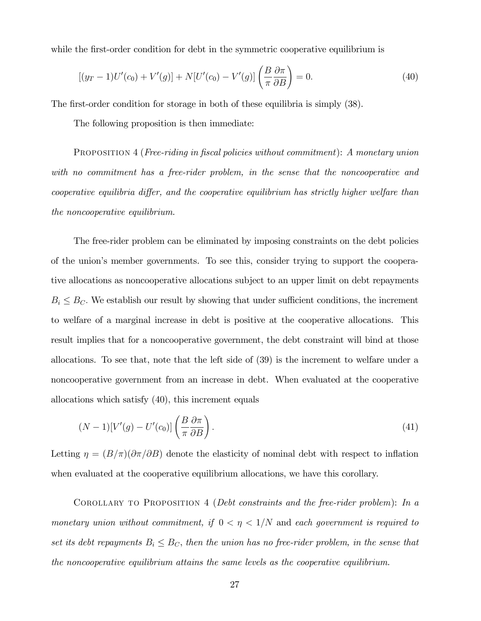while the first-order condition for debt in the symmetric cooperative equilibrium is

$$
[(y_T - 1)U'(c_0) + V'(g)] + N[U'(c_0) - V'(g)]\left(\frac{B}{\pi} \frac{\partial \pi}{\partial B}\right) = 0.
$$
\n(40)

The first-order condition for storage in both of these equilibria is simply (38).

The following proposition is then immediate:

Proposition 4 (Free-riding in fiscal policies without commitment): A monetary union with no commitment has a free-rider problem, in the sense that the noncooperative and cooperative equilibria differ, and the cooperative equilibrium has strictly higher welfare than the noncooperative equilibrium.

The free-rider problem can be eliminated by imposing constraints on the debt policies of the union's member governments. To see this, consider trying to support the cooperative allocations as noncooperative allocations subject to an upper limit on debt repayments  $B_i \leq B_C$ . We establish our result by showing that under sufficient conditions, the increment to welfare of a marginal increase in debt is positive at the cooperative allocations. This result implies that for a noncooperative government, the debt constraint will bind at those allocations. To see that, note that the left side of (39) is the increment to welfare under a noncooperative government from an increase in debt. When evaluated at the cooperative allocations which satisfy (40), this increment equals

$$
(N-1)[V'(g) - U'(c_0)]\left(\frac{B}{\pi} \frac{\partial \pi}{\partial B}\right).
$$
\n(41)

Letting  $\eta = (B/\pi)(\partial \pi/\partial B)$  denote the elasticity of nominal debt with respect to inflation when evaluated at the cooperative equilibrium allocations, we have this corollary.

COROLLARY TO PROPOSITION 4 (Debt constraints and the free-rider problem): In a monetary union without commitment, if  $0 < \eta < 1/N$  and each government is required to set its debt repayments  $B_i \leq B_C$ , then the union has no free-rider problem, in the sense that the noncooperative equilibrium attains the same levels as the cooperative equilibrium.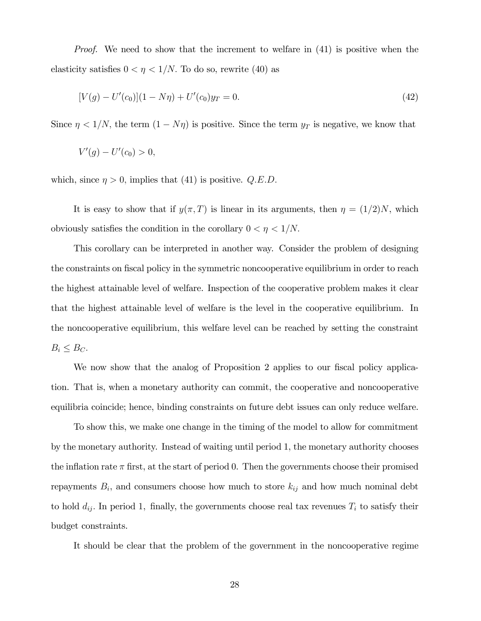Proof. We need to show that the increment to welfare in  $(41)$  is positive when the elasticity satisfies  $0 < \eta < 1/N$ . To do so, rewrite (40) as

$$
[V(g) - U'(c_0)](1 - N\eta) + U'(c_0)y_T = 0.
$$
\n(42)

Since  $\eta < 1/N$ , the term  $(1 - N\eta)$  is positive. Since the term  $y_T$  is negative, we know that

$$
V'(g) - U'(c_0) > 0,
$$

which, since  $\eta > 0$ , implies that (41) is positive. Q.E.D.

It is easy to show that if  $y(\pi, T)$  is linear in its arguments, then  $\eta = (1/2)N$ , which obviously satisfies the condition in the corollary  $0 < \eta < 1/N$ .

This corollary can be interpreted in another way. Consider the problem of designing the constraints on fiscal policy in the symmetric noncooperative equilibrium in order to reach the highest attainable level of welfare. Inspection of the cooperative problem makes it clear that the highest attainable level of welfare is the level in the cooperative equilibrium. In the noncooperative equilibrium, this welfare level can be reached by setting the constraint  $B_i \leq B_C$ .

We now show that the analog of Proposition 2 applies to our fiscal policy application. That is, when a monetary authority can commit, the cooperative and noncooperative equilibria coincide; hence, binding constraints on future debt issues can only reduce welfare.

To show this, we make one change in the timing of the model to allow for commitment by the monetary authority. Instead of waiting until period 1, the monetary authority chooses the inflation rate  $\pi$  first, at the start of period 0. Then the governments choose their promised repayments  $B_i$ , and consumers choose how much to store  $k_{ij}$  and how much nominal debt to hold  $d_{ij}$ . In period 1, finally, the governments choose real tax revenues  $T_i$  to satisfy their budget constraints.

It should be clear that the problem of the government in the noncooperative regime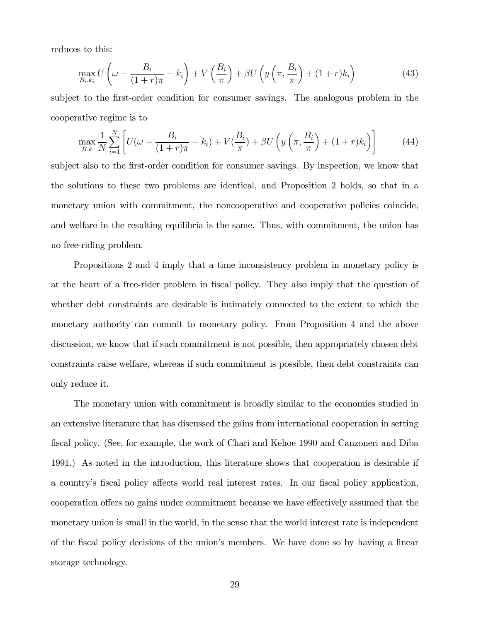reduces to this:

$$
\max_{B_i,k_i} U\left(\omega - \frac{B_i}{(1+r)\pi} - k_i\right) + V\left(\frac{B_i}{\pi}\right) + \beta U\left(y\left(\pi, \frac{B_i}{\pi}\right) + (1+r)k_i\right) \tag{43}
$$

subject to the first-order condition for consumer savings. The analogous problem in the cooperative regime is to

$$
\max_{\bar{B},\bar{k}} \frac{1}{N} \sum_{i=1}^{N} \left[ U(\omega - \frac{B_i}{(1+r)\pi} - k_i) + V(\frac{B_i}{\pi}) + \beta U\left(y\left(\pi, \frac{B_i}{\pi}\right) + (1+r)k_i\right) \right]
$$
(44)

subject also to the first-order condition for consumer savings. By inspection, we know that the solutions to these two problems are identical, and Proposition 2 holds, so that in a monetary union with commitment, the noncooperative and cooperative policies coincide, and welfare in the resulting equilibria is the same. Thus, with commitment, the union has no free-riding problem.

Propositions 2 and 4 imply that a time inconsistency problem in monetary policy is at the heart of a free-rider problem in fiscal policy. They also imply that the question of whether debt constraints are desirable is intimately connected to the extent to which the monetary authority can commit to monetary policy. From Proposition 4 and the above discussion, we know that if such commitment is not possible, then appropriately chosen debt constraints raise welfare, whereas if such commitment is possible, then debt constraints can only reduce it.

The monetary union with commitment is broadly similar to the economies studied in an extensive literature that has discussed the gains from international cooperation in setting fiscal policy. (See, for example, the work of Chari and Kehoe 1990 and Canzoneri and Diba 1991.) As noted in the introduction, this literature shows that cooperation is desirable if a country's fiscal policy affects world real interest rates. In our fiscal policy application, cooperation offers no gains under commitment because we have effectively assumed that the monetary union is small in the world, in the sense that the world interest rate is independent of the fiscal policy decisions of the union's members. We have done so by having a linear storage technology.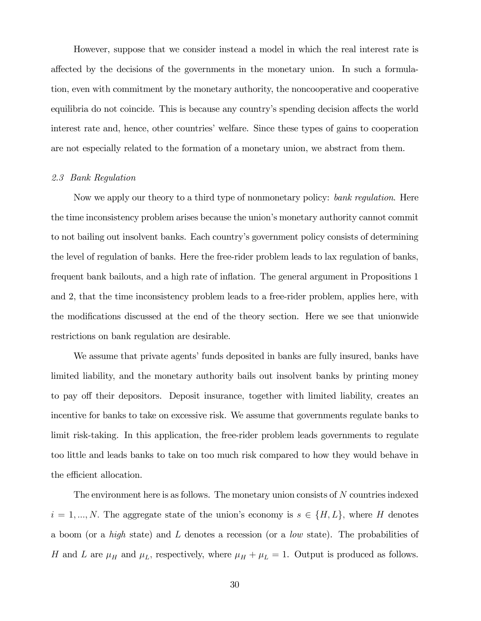However, suppose that we consider instead a model in which the real interest rate is affected by the decisions of the governments in the monetary union. In such a formulation, even with commitment by the monetary authority, the noncooperative and cooperative equilibria do not coincide. This is because any country's spending decision affects the world interest rate and, hence, other countries' welfare. Since these types of gains to cooperation are not especially related to the formation of a monetary union, we abstract from them.

#### 2.3 Bank Regulation

Now we apply our theory to a third type of nonmonetary policy: bank regulation. Here the time inconsistency problem arises because the union's monetary authority cannot commit to not bailing out insolvent banks. Each country's government policy consists of determining the level of regulation of banks. Here the free-rider problem leads to lax regulation of banks, frequent bank bailouts, and a high rate of inflation. The general argument in Propositions 1 and 2, that the time inconsistency problem leads to a free-rider problem, applies here, with the modifications discussed at the end of the theory section. Here we see that unionwide restrictions on bank regulation are desirable.

We assume that private agents' funds deposited in banks are fully insured, banks have limited liability, and the monetary authority bails out insolvent banks by printing money to pay off their depositors. Deposit insurance, together with limited liability, creates an incentive for banks to take on excessive risk. We assume that governments regulate banks to limit risk-taking. In this application, the free-rider problem leads governments to regulate too little and leads banks to take on too much risk compared to how they would behave in the efficient allocation.

The environment here is as follows. The monetary union consists of N countries indexed  $i = 1, ..., N$ . The aggregate state of the union's economy is  $s \in \{H, L\}$ , where H denotes a boom (or a *high* state) and L denotes a recession (or a *low* state). The probabilities of H and L are  $\mu_H$  and  $\mu_L$ , respectively, where  $\mu_H + \mu_L = 1$ . Output is produced as follows.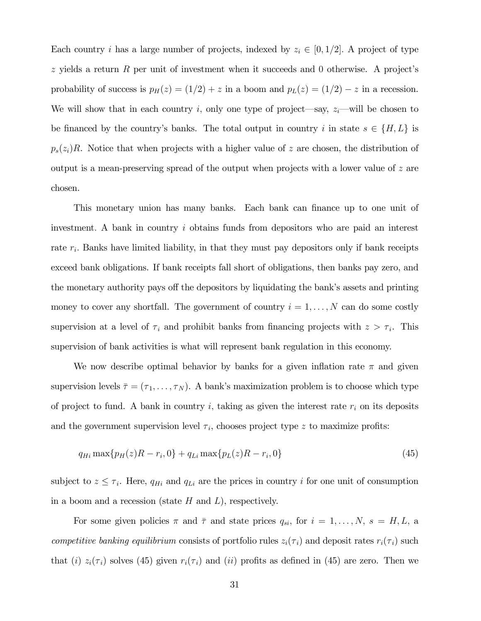Each country *i* has a large number of projects, indexed by  $z_i \in [0, 1/2]$ . A project of type z yields a return R per unit of investment when it succeeds and 0 otherwise. A project's probability of success is  $p_H(z) = (1/2) + z$  in a boom and  $p_L(z) = (1/2) - z$  in a recession. We will show that in each country i, only one type of project—say,  $z_i$ —will be chosen to be financed by the country's banks. The total output in country i in state  $s \in \{H, L\}$  is  $p_s(z_i)R$ . Notice that when projects with a higher value of z are chosen, the distribution of output is a mean-preserving spread of the output when projects with a lower value of z are chosen.

This monetary union has many banks. Each bank can finance up to one unit of investment. A bank in country i obtains funds from depositors who are paid an interest rate  $r_i$ . Banks have limited liability, in that they must pay depositors only if bank receipts exceed bank obligations. If bank receipts fall short of obligations, then banks pay zero, and the monetary authority pays off the depositors by liquidating the bank's assets and printing money to cover any shortfall. The government of country  $i = 1, \ldots, N$  can do some costly supervision at a level of  $\tau_i$  and prohibit banks from financing projects with  $z > \tau_i$ . This supervision of bank activities is what will represent bank regulation in this economy.

We now describe optimal behavior by banks for a given inflation rate  $\pi$  and given supervision levels  $\bar{\tau} = (\tau_1, \ldots, \tau_N)$ . A bank's maximization problem is to choose which type of project to fund. A bank in country i, taking as given the interest rate  $r_i$  on its deposits and the government supervision level  $\tau_i$ , chooses project type z to maximize profits:

$$
q_{Hi} \max\{p_H(z)R - r_i, 0\} + q_{Li} \max\{p_L(z)R - r_i, 0\}
$$
\n(45)

subject to  $z \leq \tau_i$ . Here,  $q_{Hi}$  and  $q_{Li}$  are the prices in country i for one unit of consumption in a boom and a recession (state  $H$  and  $L$ ), respectively.

For some given policies  $\pi$  and  $\bar{\tau}$  and state prices  $q_{si}$ , for  $i = 1, \ldots, N$ ,  $s = H, L$ , a competitive banking equilibrium consists of portfolio rules  $z_i(\tau_i)$  and deposit rates  $r_i(\tau_i)$  such that (i)  $z_i(\tau_i)$  solves (45) given  $r_i(\tau_i)$  and (ii) profits as defined in (45) are zero. Then we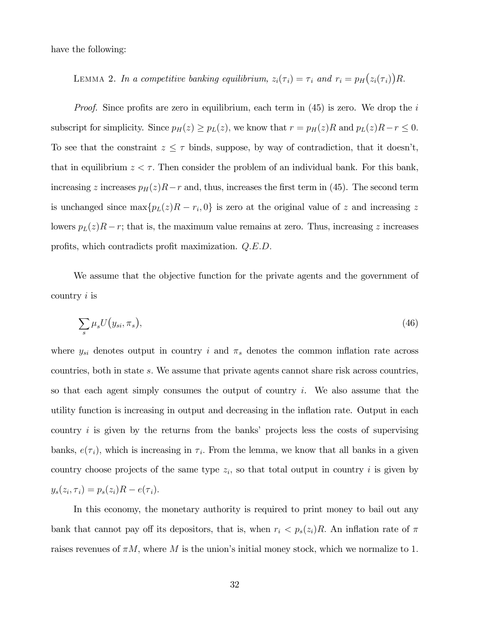have the following:

LEMMA 2. In a competitive banking equilibrium,  $z_i(\tau_i) = \tau_i$  and  $r_i = p_H(z_i(\tau_i))R$ .

*Proof.* Since profits are zero in equilibrium, each term in  $(45)$  is zero. We drop the i subscript for simplicity. Since  $p_H(z) \geq p_L(z)$ , we know that  $r = p_H(z)R$  and  $p_L(z)R - r \leq 0$ . To see that the constraint  $z \leq \tau$  binds, suppose, by way of contradiction, that it doesn't, that in equilibrium  $z < \tau$ . Then consider the problem of an individual bank. For this bank, increasing z increases  $p_H(z)R-r$  and, thus, increases the first term in (45). The second term is unchanged since  $\max\{p_L(z)R - r_i, 0\}$  is zero at the original value of z and increasing z lowers  $p_L(z)R - r$ ; that is, the maximum value remains at zero. Thus, increasing z increases profits, which contradicts profit maximization. Q.E.D.

We assume that the objective function for the private agents and the government of country i is

$$
\sum_{s} \mu_s U(y_{si}, \pi_s), \tag{46}
$$

where  $y_{si}$  denotes output in country i and  $\pi_s$  denotes the common inflation rate across countries, both in state s. We assume that private agents cannot share risk across countries, so that each agent simply consumes the output of country  $i$ . We also assume that the utility function is increasing in output and decreasing in the inflation rate. Output in each country  $i$  is given by the returns from the banks' projects less the costs of supervising banks,  $e(\tau_i)$ , which is increasing in  $\tau_i$ . From the lemma, we know that all banks in a given country choose projects of the same type  $z_i$ , so that total output in country i is given by  $y_s(z_i, \tau_i) = p_s(z_i)R - e(\tau_i).$ 

In this economy, the monetary authority is required to print money to bail out any bank that cannot pay off its depositors, that is, when  $r_i < p_s(z_i)R$ . An inflation rate of  $\pi$ raises revenues of  $\pi M$ , where M is the union's initial money stock, which we normalize to 1.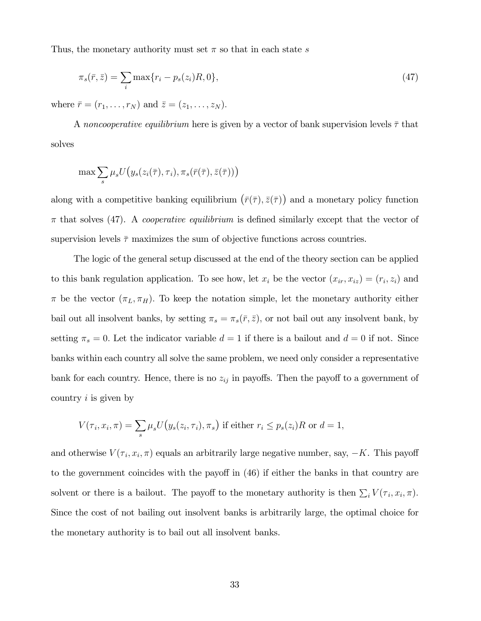Thus, the monetary authority must set  $\pi$  so that in each state s

$$
\pi_s(\bar{r}, \bar{z}) = \sum_i \max\{r_i - p_s(z_i)R, 0\},\tag{47}
$$

where  $\bar{r} = (r_1, \ldots, r_N)$  and  $\bar{z} = (z_1, \ldots, z_N)$ .

A noncooperative equilibrium here is given by a vector of bank supervision levels  $\bar{\tau}$  that solves

$$
\max \sum_{s} \mu_{s} U\big(y_{s}(z_{i}(\bar{\tau}), \tau_{i}), \pi_{s}(\bar{r}(\bar{\tau}), \bar{z}(\bar{\tau}))\big)
$$

along with a competitive banking equilibrium  $(\bar{r}(\bar{\tau}), \bar{z}(\bar{\tau}))$  and a monetary policy function  $\pi$  that solves (47). A *cooperative equilibrium* is defined similarly except that the vector of supervision levels  $\bar{\tau}$  maximizes the sum of objective functions across countries.

The logic of the general setup discussed at the end of the theory section can be applied to this bank regulation application. To see how, let  $x_i$  be the vector  $(x_{ir}, x_{iz})=(r_i, z_i)$  and  $\pi$  be the vector  $(\pi_L, \pi_H)$ . To keep the notation simple, let the monetary authority either bail out all insolvent banks, by setting  $\pi_s = \pi_s(\bar{r}, \bar{z})$ , or not bail out any insolvent bank, by setting  $\pi_s = 0$ . Let the indicator variable  $d = 1$  if there is a bailout and  $d = 0$  if not. Since banks within each country all solve the same problem, we need only consider a representative bank for each country. Hence, there is no  $z_{ij}$  in payoffs. Then the payoff to a government of country  $i$  is given by

$$
V(\tau_i, x_i, \pi) = \sum_s \mu_s U(y_s(z_i, \tau_i), \pi_s)
$$
 if either  $r_i \leq p_s(z_i)R$  or  $d = 1$ ,

and otherwise  $V(\tau_i, x_i, \pi)$  equals an arbitrarily large negative number, say,  $-K$ . This payoff to the government coincides with the payoff in (46) if either the banks in that country are solvent or there is a bailout. The payoff to the monetary authority is then  $\sum_i V(\tau_i, x_i, \pi)$ . Since the cost of not bailing out insolvent banks is arbitrarily large, the optimal choice for the monetary authority is to bail out all insolvent banks.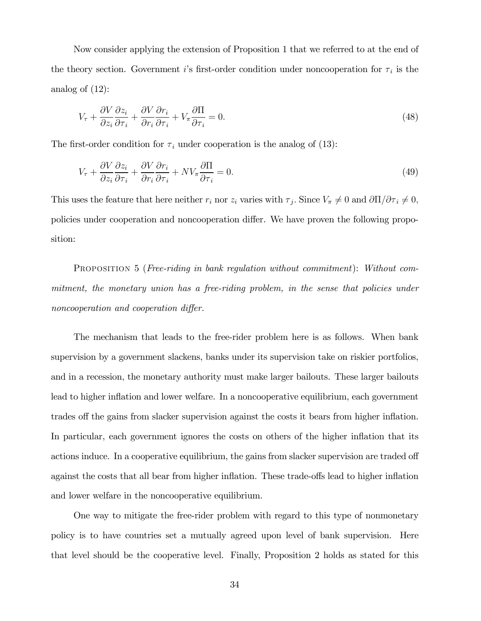Now consider applying the extension of Proposition 1 that we referred to at the end of the theory section. Government *i*'s first-order condition under noncooperation for  $\tau_i$  is the analog of (12):

$$
V_{\tau} + \frac{\partial V}{\partial z_i} \frac{\partial z_i}{\partial \tau_i} + \frac{\partial V}{\partial r_i} \frac{\partial r_i}{\partial \tau_i} + V_{\pi} \frac{\partial \Pi}{\partial \tau_i} = 0.
$$
\n(48)

The first-order condition for  $\tau_i$  under cooperation is the analog of (13):

$$
V_{\tau} + \frac{\partial V}{\partial z_i} \frac{\partial z_i}{\partial \tau_i} + \frac{\partial V}{\partial r_i} \frac{\partial r_i}{\partial \tau_i} + N V_{\pi} \frac{\partial \Pi}{\partial \tau_i} = 0.
$$
\n(49)

This uses the feature that here neither  $r_i$  nor  $z_i$  varies with  $\tau_j$ . Since  $V_\pi \neq 0$  and  $\partial \Pi/\partial \tau_i \neq 0$ , policies under cooperation and noncooperation differ. We have proven the following proposition:

PROPOSITION 5 (*Free-riding in bank regulation without commitment*): Without commitment, the monetary union has a free-riding problem, in the sense that policies under noncooperation and cooperation differ.

The mechanism that leads to the free-rider problem here is as follows. When bank supervision by a government slackens, banks under its supervision take on riskier portfolios, and in a recession, the monetary authority must make larger bailouts. These larger bailouts lead to higher inflation and lower welfare. In a noncooperative equilibrium, each government trades off the gains from slacker supervision against the costs it bears from higher inflation. In particular, each government ignores the costs on others of the higher inflation that its actions induce. In a cooperative equilibrium, the gains from slacker supervision are traded off against the costs that all bear from higher inflation. These trade-offs lead to higher inflation and lower welfare in the noncooperative equilibrium.

One way to mitigate the free-rider problem with regard to this type of nonmonetary policy is to have countries set a mutually agreed upon level of bank supervision. Here that level should be the cooperative level. Finally, Proposition 2 holds as stated for this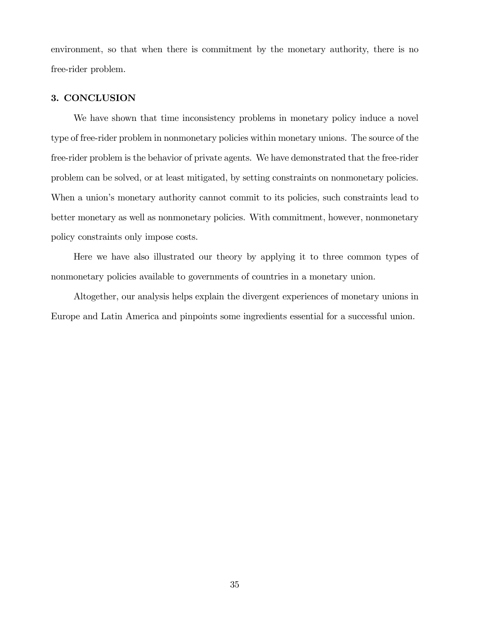environment, so that when there is commitment by the monetary authority, there is no free-rider problem.

## 3. CONCLUSION

We have shown that time inconsistency problems in monetary policy induce a novel type of free-rider problem in nonmonetary policies within monetary unions. The source of the free-rider problem is the behavior of private agents. We have demonstrated that the free-rider problem can be solved, or at least mitigated, by setting constraints on nonmonetary policies. When a union's monetary authority cannot commit to its policies, such constraints lead to better monetary as well as nonmonetary policies. With commitment, however, nonmonetary policy constraints only impose costs.

Here we have also illustrated our theory by applying it to three common types of nonmonetary policies available to governments of countries in a monetary union.

Altogether, our analysis helps explain the divergent experiences of monetary unions in Europe and Latin America and pinpoints some ingredients essential for a successful union.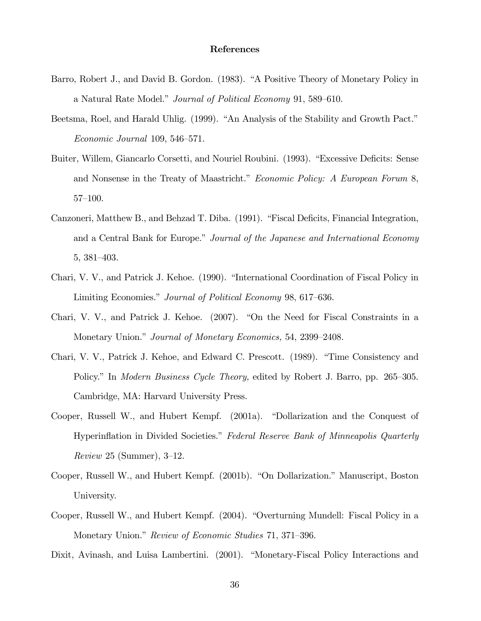#### References

- Barro, Robert J., and David B. Gordon. (1983). "A Positive Theory of Monetary Policy in a Natural Rate Model." Journal of Political Economy 91, 589—610.
- Beetsma, Roel, and Harald Uhlig. (1999). "An Analysis of the Stability and Growth Pact." Economic Journal 109, 546—571.
- Buiter, Willem, Giancarlo Corsetti, and Nouriel Roubini. (1993). "Excessive Deficits: Sense and Nonsense in the Treaty of Maastricht." Economic Policy: A European Forum 8, 57—100.
- Canzoneri, Matthew B., and Behzad T. Diba. (1991). "Fiscal Deficits, Financial Integration, and a Central Bank for Europe." Journal of the Japanese and International Economy 5, 381—403.
- Chari, V. V., and Patrick J. Kehoe. (1990). "International Coordination of Fiscal Policy in Limiting Economies." Journal of Political Economy 98, 617—636.
- Chari, V. V., and Patrick J. Kehoe. (2007). "On the Need for Fiscal Constraints in a Monetary Union." *Journal of Monetary Economics*, 54, 2399–2408.
- Chari, V. V., Patrick J. Kehoe, and Edward C. Prescott. (1989). "Time Consistency and Policy." In Modern Business Cycle Theory, edited by Robert J. Barro, pp. 265—305. Cambridge, MA: Harvard University Press.
- Cooper, Russell W., and Hubert Kempf. (2001a). "Dollarization and the Conquest of Hyperinflation in Divided Societies." Federal Reserve Bank of Minneapolis Quarterly Review 25 (Summer), 3—12.
- Cooper, Russell W., and Hubert Kempf. (2001b). "On Dollarization." Manuscript, Boston University.
- Cooper, Russell W., and Hubert Kempf. (2004). "Overturning Mundell: Fiscal Policy in a Monetary Union." Review of Economic Studies 71, 371–396.
- Dixit, Avinash, and Luisa Lambertini. (2001). "Monetary-Fiscal Policy Interactions and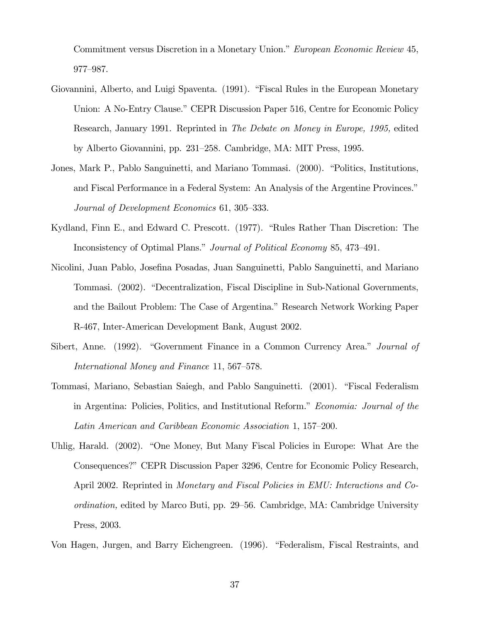Commitment versus Discretion in a Monetary Union." European Economic Review 45, 977—987.

- Giovannini, Alberto, and Luigi Spaventa. (1991). "Fiscal Rules in the European Monetary Union: A No-Entry Clause." CEPR Discussion Paper 516, Centre for Economic Policy Research, January 1991. Reprinted in The Debate on Money in Europe, 1995, edited by Alberto Giovannini, pp. 231—258. Cambridge, MA: MIT Press, 1995.
- Jones, Mark P., Pablo Sanguinetti, and Mariano Tommasi. (2000). "Politics, Institutions, and Fiscal Performance in a Federal System: An Analysis of the Argentine Provinces." Journal of Development Economics 61, 305—333.
- Kydland, Finn E., and Edward C. Prescott. (1977). "Rules Rather Than Discretion: The Inconsistency of Optimal Plans." Journal of Political Economy 85, 473—491.
- Nicolini, Juan Pablo, Josefina Posadas, Juan Sanguinetti, Pablo Sanguinetti, and Mariano Tommasi. (2002). "Decentralization, Fiscal Discipline in Sub-National Governments, and the Bailout Problem: The Case of Argentina." Research Network Working Paper R-467, Inter-American Development Bank, August 2002.
- Sibert, Anne. (1992). "Government Finance in a Common Currency Area." Journal of International Money and Finance 11, 567—578.
- Tommasi, Mariano, Sebastian Saiegh, and Pablo Sanguinetti. (2001). "Fiscal Federalism in Argentina: Policies, Politics, and Institutional Reform." Economia: Journal of the Latin American and Caribbean Economic Association 1, 157—200.
- Uhlig, Harald. (2002). "One Money, But Many Fiscal Policies in Europe: What Are the Consequences?" CEPR Discussion Paper 3296, Centre for Economic Policy Research, April 2002. Reprinted in Monetary and Fiscal Policies in EMU: Interactions and Coordination, edited by Marco Buti, pp. 29—56. Cambridge, MA: Cambridge University Press, 2003.
- Von Hagen, Jurgen, and Barry Eichengreen. (1996). "Federalism, Fiscal Restraints, and